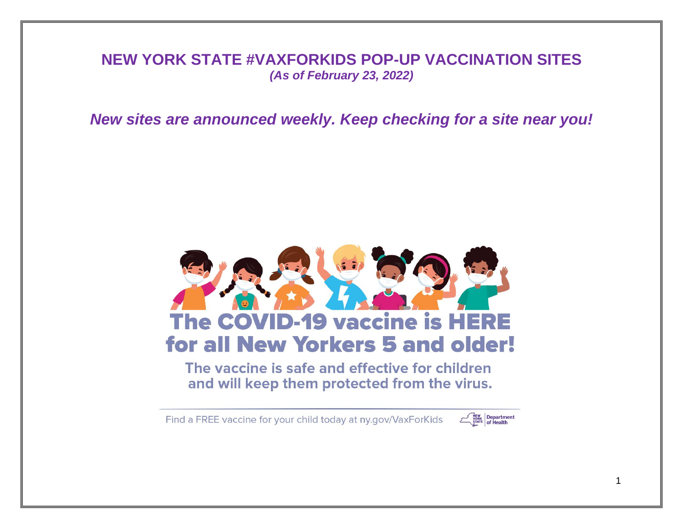## **NEW YORK STATE #VAXFORKIDS POP-UP VACCINATION SITES** *(As of February 23, 2022)*

*New sites are announced weekly. Keep checking for a site near you!*



The vaccine is safe and effective for children and will keep them protected from the virus.

Find a FREE vaccine for your child today at ny.gov/VaxForKids

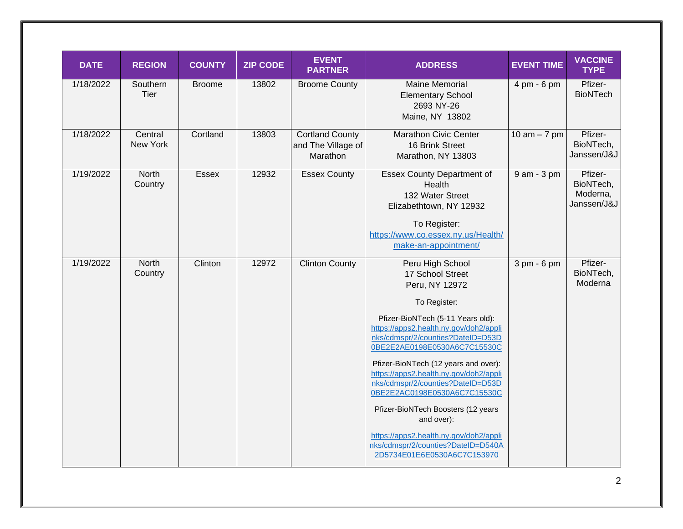| <b>DATE</b> | <b>REGION</b>           | <b>COUNTY</b> | <b>ZIP CODE</b> | <b>EVENT</b><br><b>PARTNER</b>                           | <b>ADDRESS</b>                                                                                                                                                                                                                                                                                                                                                                                                                                                                                                                                       | <b>EVENT TIME</b> | <b>VACCINE</b><br><b>TYPE</b>                   |
|-------------|-------------------------|---------------|-----------------|----------------------------------------------------------|------------------------------------------------------------------------------------------------------------------------------------------------------------------------------------------------------------------------------------------------------------------------------------------------------------------------------------------------------------------------------------------------------------------------------------------------------------------------------------------------------------------------------------------------------|-------------------|-------------------------------------------------|
| 1/18/2022   | Southern<br><b>Tier</b> | <b>Broome</b> | 13802           | <b>Broome County</b>                                     | <b>Maine Memorial</b><br><b>Elementary School</b><br>2693 NY-26<br>Maine, NY 13802                                                                                                                                                                                                                                                                                                                                                                                                                                                                   | 4 pm - 6 pm       | Pfizer-<br><b>BioNTech</b>                      |
| 1/18/2022   | Central<br>New York     | Cortland      | 13803           | <b>Cortland County</b><br>and The Village of<br>Marathon | <b>Marathon Civic Center</b><br>16 Brink Street<br>Marathon, NY 13803                                                                                                                                                                                                                                                                                                                                                                                                                                                                                | 10 am $-7$ pm     | Pfizer-<br>BioNTech,<br>Janssen/J&J             |
| 1/19/2022   | North<br>Country        | <b>Essex</b>  | 12932           | <b>Essex County</b>                                      | <b>Essex County Department of</b><br>Health<br>132 Water Street<br>Elizabethtown, NY 12932<br>To Register:<br>https://www.co.essex.ny.us/Health/<br>make-an-appointment/                                                                                                                                                                                                                                                                                                                                                                             | 9 am - 3 pm       | Pfizer-<br>BioNTech,<br>Moderna,<br>Janssen/J&J |
| 1/19/2022   | North<br>Country        | Clinton       | 12972           | <b>Clinton County</b>                                    | Peru High School<br>17 School Street<br>Peru, NY 12972<br>To Register:<br>Pfizer-BioNTech (5-11 Years old):<br>https://apps2.health.ny.gov/doh2/appli<br>nks/cdmspr/2/counties?DateID=D53D<br>0BE2E2AE0198E0530A6C7C15530C<br>Pfizer-BioNTech (12 years and over):<br>https://apps2.health.ny.gov/doh2/appli<br>nks/cdmspr/2/counties?DateID=D53D<br>0BE2E2AC0198E0530A6C7C15530C<br>Pfizer-BioNTech Boosters (12 years<br>and over):<br>https://apps2.health.ny.gov/doh2/appli<br>nks/cdmspr/2/counties?DateID=D540A<br>2D5734E01E6E0530A6C7C153970 | 3 pm - 6 pm       | Pfizer-<br>BioNTech,<br>Moderna                 |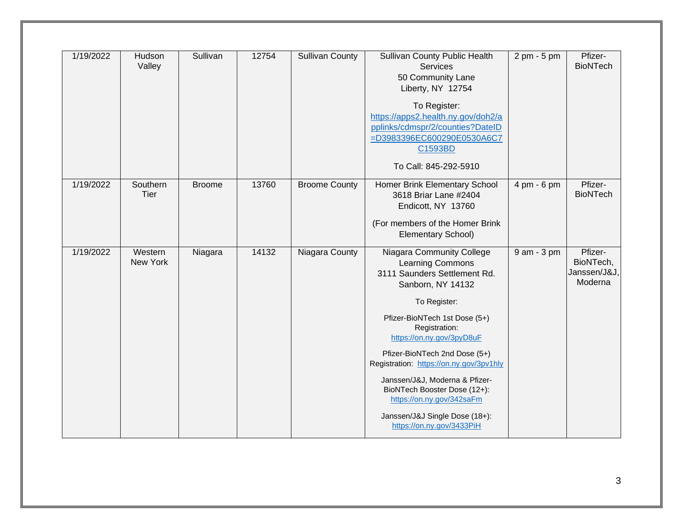| 1/19/2022 | Hudson<br>Valley    | Sullivan      | 12754 | <b>Sullivan County</b> | Sullivan County Public Health<br>Services<br>50 Community Lane<br>Liberty, NY 12754<br>To Register:<br>https://apps2.health.ny.gov/doh2/a<br>pplinks/cdmspr/2/counties?DateID<br>=D3983396EC600290E0530A6C7<br>C1593BD<br>To Call: 845-292-5910                                                                                                                                                                                             | 2 pm - 5 pm | Pfizer-<br><b>BioNTech</b>                      |
|-----------|---------------------|---------------|-------|------------------------|---------------------------------------------------------------------------------------------------------------------------------------------------------------------------------------------------------------------------------------------------------------------------------------------------------------------------------------------------------------------------------------------------------------------------------------------|-------------|-------------------------------------------------|
| 1/19/2022 | Southern<br>Tier    | <b>Broome</b> | 13760 | <b>Broome County</b>   | Homer Brink Elementary School<br>3618 Briar Lane #2404<br>Endicott, NY 13760<br>(For members of the Homer Brink<br>Elementary School)                                                                                                                                                                                                                                                                                                       | 4 pm - 6 pm | Pfizer-<br><b>BioNTech</b>                      |
| 1/19/2022 | Western<br>New York | Niagara       | 14132 | Niagara County         | Niagara Community College<br>Learning Commons<br>3111 Saunders Settlement Rd.<br>Sanborn, NY 14132<br>To Register:<br>Pfizer-BioNTech 1st Dose (5+)<br>Registration:<br>https://on.ny.gov/3pyD8uF<br>Pfizer-BioNTech 2nd Dose (5+)<br>Registration: https://on.ny.gov/3pv1hly<br>Janssen/J&J, Moderna & Pfizer-<br>BioNTech Booster Dose (12+):<br>https://on.ny.gov/342saFm<br>Janssen/J&J Single Dose (18+):<br>https://on.ny.gov/3433PiH | 9 am - 3 pm | Pfizer-<br>BioNTech,<br>Janssen/J&J,<br>Moderna |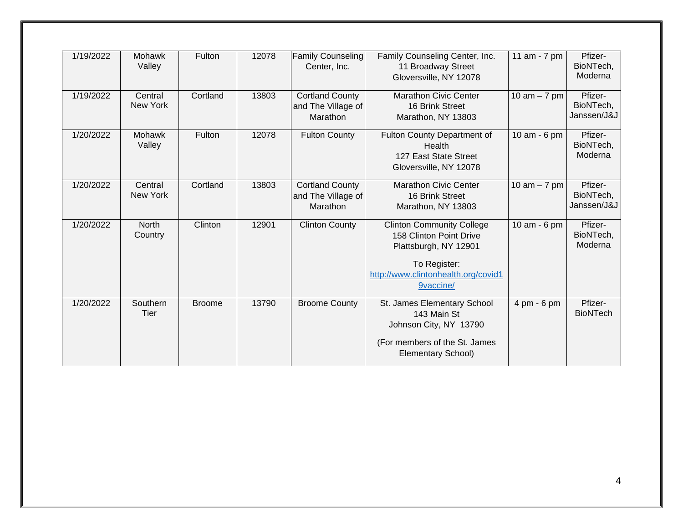| 1/19/2022 | <b>Mohawk</b><br>Valley | Fulton        | 12078 | <b>Family Counseling</b><br>Center, Inc.                 | Family Counseling Center, Inc.<br>11 Broadway Street<br>Gloversville, NY 12078                                                                           | 11 am - 7 pm   | Pfizer-<br>BioNTech,<br>Moderna     |
|-----------|-------------------------|---------------|-------|----------------------------------------------------------|----------------------------------------------------------------------------------------------------------------------------------------------------------|----------------|-------------------------------------|
| 1/19/2022 | Central<br>New York     | Cortland      | 13803 | <b>Cortland County</b><br>and The Village of<br>Marathon | <b>Marathon Civic Center</b><br>16 Brink Street<br>Marathon, NY 13803                                                                                    | 10 $am - 7$ pm | Pfizer-<br>BioNTech,<br>Janssen/J&J |
| 1/20/2022 | <b>Mohawk</b><br>Valley | Fulton        | 12078 | <b>Fulton County</b>                                     | Fulton County Department of<br>Health<br>127 East State Street<br>Gloversville, NY 12078                                                                 | 10 am - 6 pm   | Pfizer-<br>BioNTech,<br>Moderna     |
| 1/20/2022 | Central<br>New York     | Cortland      | 13803 | <b>Cortland County</b><br>and The Village of<br>Marathon | <b>Marathon Civic Center</b><br>16 Brink Street<br>Marathon, NY 13803                                                                                    | 10 am $-7$ pm  | Pfizer-<br>BioNTech,<br>Janssen/J&J |
| 1/20/2022 | <b>North</b><br>Country | Clinton       | 12901 | <b>Clinton County</b>                                    | <b>Clinton Community College</b><br>158 Clinton Point Drive<br>Plattsburgh, NY 12901<br>To Register:<br>http://www.clintonhealth.org/covid1<br>9vaccine/ | 10 am - 6 pm   | Pfizer-<br>BioNTech,<br>Moderna     |
| 1/20/2022 | Southern<br>Tier        | <b>Broome</b> | 13790 | <b>Broome County</b>                                     | St. James Elementary School<br>143 Main St<br>Johnson City, NY 13790<br>(For members of the St. James<br><b>Elementary School)</b>                       | 4 pm - 6 pm    | Pfizer-<br><b>BioNTech</b>          |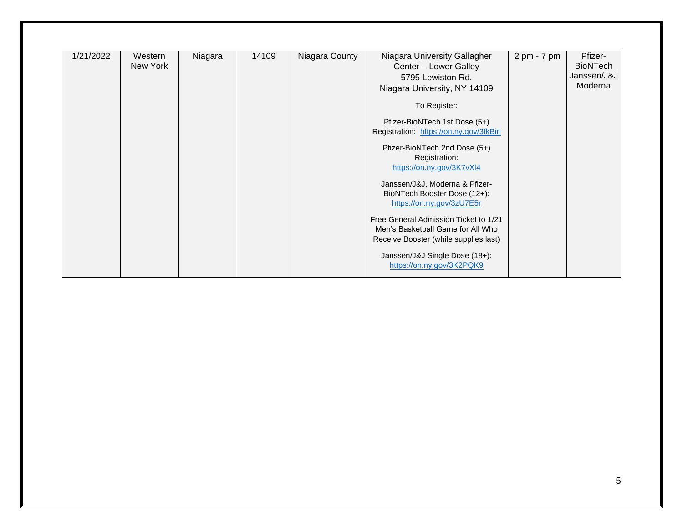| 1/21/2022 | Western  | Niagara | 14109 | Niagara County | Niagara University Gallagher            | 2 pm - 7 pm | Pfizer-         |
|-----------|----------|---------|-------|----------------|-----------------------------------------|-------------|-----------------|
|           | New York |         |       |                | Center - Lower Galley                   |             | <b>BioNTech</b> |
|           |          |         |       |                | 5795 Lewiston Rd.                       |             | Janssen/J&J     |
|           |          |         |       |                | Niagara University, NY 14109            |             | Moderna         |
|           |          |         |       |                |                                         |             |                 |
|           |          |         |       |                | To Register:                            |             |                 |
|           |          |         |       |                |                                         |             |                 |
|           |          |         |       |                | Pfizer-BioNTech 1st Dose (5+)           |             |                 |
|           |          |         |       |                | Registration: https://on.ny.gov/3fkBirj |             |                 |
|           |          |         |       |                | Pfizer-BioNTech 2nd Dose (5+)           |             |                 |
|           |          |         |       |                | Registration:                           |             |                 |
|           |          |         |       |                | https://on.ny.gov/3K7vXl4               |             |                 |
|           |          |         |       |                |                                         |             |                 |
|           |          |         |       |                | Janssen/J&J, Moderna & Pfizer-          |             |                 |
|           |          |         |       |                | BioNTech Booster Dose (12+):            |             |                 |
|           |          |         |       |                | https://on.ny.gov/3zU7E5r               |             |                 |
|           |          |         |       |                |                                         |             |                 |
|           |          |         |       |                | Free General Admission Ticket to 1/21   |             |                 |
|           |          |         |       |                | Men's Basketball Game for All Who       |             |                 |
|           |          |         |       |                | Receive Booster (while supplies last)   |             |                 |
|           |          |         |       |                |                                         |             |                 |
|           |          |         |       |                | Janssen/J&J Single Dose (18+):          |             |                 |
|           |          |         |       |                | https://on.ny.gov/3K2PQK9               |             |                 |
|           |          |         |       |                |                                         |             |                 |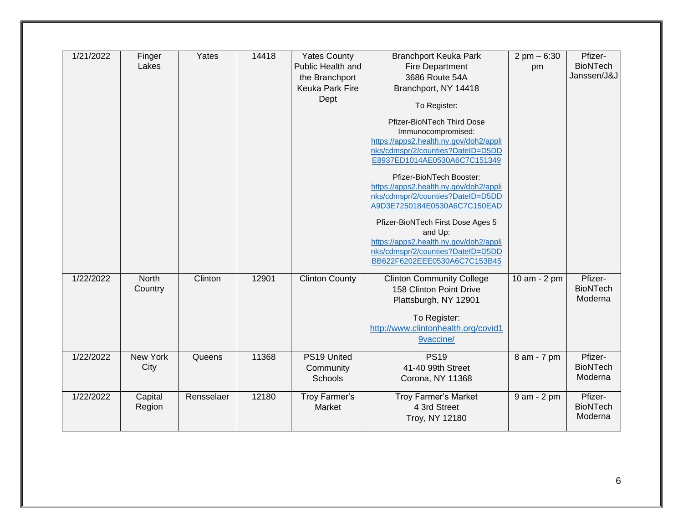| 1/21/2022 | Finger<br>Lakes         | Yates      | 14418 | <b>Yates County</b><br>Public Health and<br>the Branchport<br>Keuka Park Fire<br>Dept | <b>Branchport Keuka Park</b><br><b>Fire Department</b><br>3686 Route 54A<br>Branchport, NY 14418<br>To Register:<br>Pfizer-BioNTech Third Dose<br>Immunocompromised:<br>https://apps2.health.ny.gov/doh2/appli<br>nks/cdmspr/2/counties?DateID=D5DD<br>E8937ED1014AE0530A6C7C151349<br>Pfizer-BioNTech Booster:<br>https://apps2.health.ny.gov/doh2/appli<br>nks/cdmspr/2/counties?DateID=D5DD<br>A9D3E7250184E0530A6C7C150EAD<br>Pfizer-BioNTech First Dose Ages 5<br>and Up:<br>https://apps2.health.ny.gov/doh2/appli<br>nks/cdmspr/2/counties?DateID=D5DD<br>BB622F6202EEE0530A6C7C153B45 | $2 \text{ pm} - 6:30$<br>pm | Pfizer-<br><b>BioNTech</b><br>Janssen/J&J |
|-----------|-------------------------|------------|-------|---------------------------------------------------------------------------------------|-----------------------------------------------------------------------------------------------------------------------------------------------------------------------------------------------------------------------------------------------------------------------------------------------------------------------------------------------------------------------------------------------------------------------------------------------------------------------------------------------------------------------------------------------------------------------------------------------|-----------------------------|-------------------------------------------|
| 1/22/2022 | <b>North</b><br>Country | Clinton    | 12901 | <b>Clinton County</b>                                                                 | <b>Clinton Community College</b><br>158 Clinton Point Drive<br>Plattsburgh, NY 12901<br>To Register:<br>http://www.clintonhealth.org/covid1<br>9vaccine/                                                                                                                                                                                                                                                                                                                                                                                                                                      | 10 am - 2 pm                | Pfizer-<br><b>BioNTech</b><br>Moderna     |
| 1/22/2022 | New York<br>City        | Queens     | 11368 | PS19 United<br>Community<br>Schools                                                   | <b>PS19</b><br>41-40 99th Street<br>Corona, NY 11368                                                                                                                                                                                                                                                                                                                                                                                                                                                                                                                                          | 8 am - 7 pm                 | Pfizer-<br><b>BioNTech</b><br>Moderna     |
| 1/22/2022 | Capital<br>Region       | Rensselaer | 12180 | <b>Troy Farmer's</b><br>Market                                                        | <b>Troy Farmer's Market</b><br>4 3rd Street<br>Troy, NY 12180                                                                                                                                                                                                                                                                                                                                                                                                                                                                                                                                 | 9 am - 2 pm                 | Pfizer-<br><b>BioNTech</b><br>Moderna     |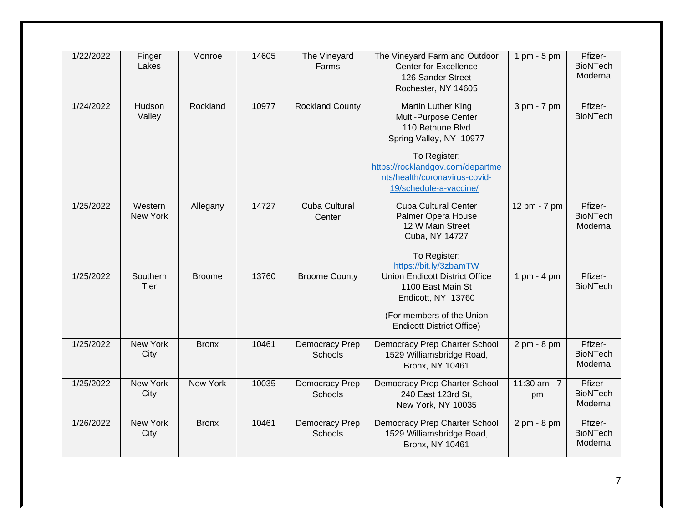| 1/22/2022 | Finger<br>Lakes            | Monroe        | 14605 | The Vineyard<br>Farms          | The Vineyard Farm and Outdoor<br><b>Center for Excellence</b><br>126 Sander Street<br>Rochester, NY 14605                                                                                                | $1$ pm - $5$ pm      | Pfizer-<br><b>BioNTech</b><br>Moderna |
|-----------|----------------------------|---------------|-------|--------------------------------|----------------------------------------------------------------------------------------------------------------------------------------------------------------------------------------------------------|----------------------|---------------------------------------|
| 1/24/2022 | Hudson<br>Valley           | Rockland      | 10977 | <b>Rockland County</b>         | Martin Luther King<br>Multi-Purpose Center<br>110 Bethune Blvd<br>Spring Valley, NY 10977<br>To Register:<br>https://rocklandgov.com/departme<br>nts/health/coronavirus-covid-<br>19/schedule-a-vaccine/ | 3 pm - 7 pm          | Pfizer-<br><b>BioNTech</b>            |
| 1/25/2022 | Western<br><b>New York</b> | Allegany      | 14727 | <b>Cuba Cultural</b><br>Center | <b>Cuba Cultural Center</b><br>Palmer Opera House<br>12 W Main Street<br>Cuba, NY 14727<br>To Register:<br>https://bit.ly/3zbamTW                                                                        | 12 pm - 7 pm         | Pfizer-<br><b>BioNTech</b><br>Moderna |
| 1/25/2022 | Southern<br><b>Tier</b>    | <b>Broome</b> | 13760 | <b>Broome County</b>           | <b>Union Endicott District Office</b><br>1100 East Main St<br>Endicott, NY 13760<br>(For members of the Union<br><b>Endicott District Office)</b>                                                        | 1 pm - 4 pm          | Pfizer-<br><b>BioNTech</b>            |
| 1/25/2022 | New York<br>City           | <b>Bronx</b>  | 10461 | Democracy Prep<br>Schools      | Democracy Prep Charter School<br>1529 Williamsbridge Road,<br><b>Bronx, NY 10461</b>                                                                                                                     | 2 pm - 8 pm          | Pfizer-<br><b>BioNTech</b><br>Moderna |
| 1/25/2022 | New York<br>City           | New York      | 10035 | Democracy Prep<br>Schools      | Democracy Prep Charter School<br>240 East 123rd St,<br>New York, NY 10035                                                                                                                                | 11:30 $am - 7$<br>pm | Pfizer-<br><b>BioNTech</b><br>Moderna |
| 1/26/2022 | <b>New York</b><br>City    | <b>Bronx</b>  | 10461 | Democracy Prep<br>Schools      | Democracy Prep Charter School<br>1529 Williamsbridge Road,<br><b>Bronx, NY 10461</b>                                                                                                                     | 2 pm - 8 pm          | Pfizer-<br><b>BioNTech</b><br>Moderna |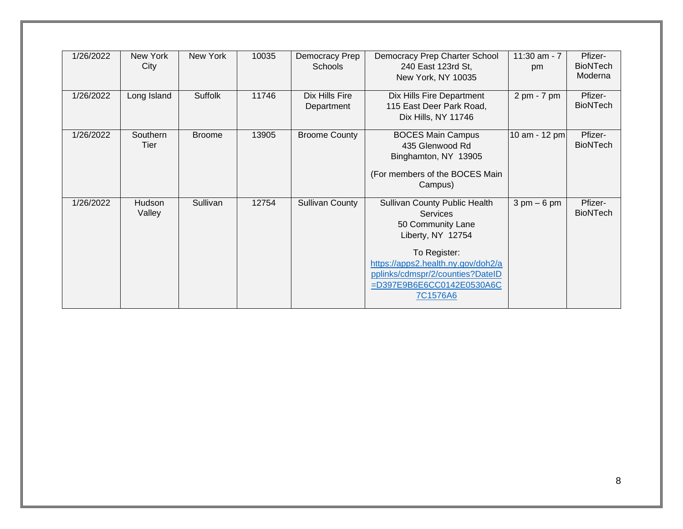| 1/26/2022 | New York<br>City | New York      | 10035 | Democracy Prep<br>Schools    | Democracy Prep Charter School<br>240 East 123rd St,<br>New York, NY 10035                                                                                                                                                     | 11:30 am - 7<br>pm            | Pfizer-<br><b>BioNTech</b><br>Moderna |
|-----------|------------------|---------------|-------|------------------------------|-------------------------------------------------------------------------------------------------------------------------------------------------------------------------------------------------------------------------------|-------------------------------|---------------------------------------|
| 1/26/2022 | Long Island      | Suffolk       | 11746 | Dix Hills Fire<br>Department | Dix Hills Fire Department<br>115 East Deer Park Road,<br>Dix Hills, NY 11746                                                                                                                                                  | 2 pm - 7 pm                   | Pfizer-<br><b>BioNTech</b>            |
| 1/26/2022 | Southern<br>Tier | <b>Broome</b> | 13905 | <b>Broome County</b>         | <b>BOCES Main Campus</b><br>435 Glenwood Rd<br>Binghamton, NY 13905<br>(For members of the BOCES Main<br>Campus)                                                                                                              | 10 am - 12 pm                 | Pfizer-<br><b>BioNTech</b>            |
| 1/26/2022 | Hudson<br>Valley | Sullivan      | 12754 | <b>Sullivan County</b>       | Sullivan County Public Health<br><b>Services</b><br>50 Community Lane<br>Liberty, NY 12754<br>To Register:<br>https://apps2.health.ny.gov/doh2/a<br>pplinks/cdmspr/2/counties?DateID<br>=D397E9B6E6CC0142E0530A6C<br>7C1576A6 | $3 \text{ pm} - 6 \text{ pm}$ | Pfizer-<br><b>BioNTech</b>            |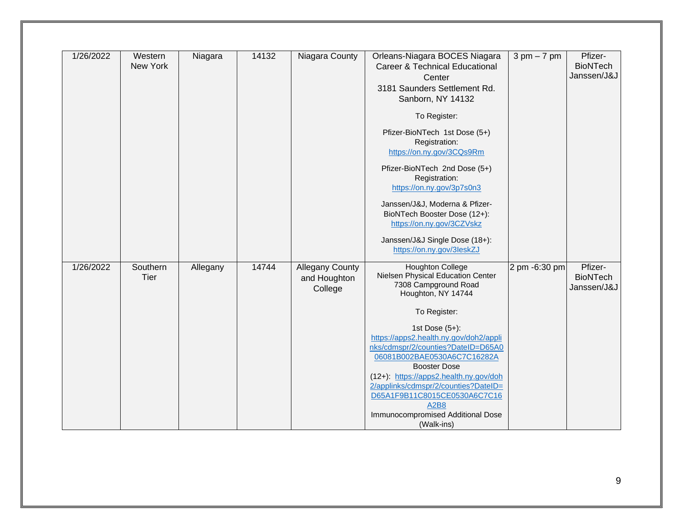| 1/26/2022<br>14132<br>Orleans-Niagara BOCES Niagara<br>$3 \text{ pm} - 7 \text{ pm}$<br>Western<br>Niagara<br>Niagara County | Pfizer-         |
|------------------------------------------------------------------------------------------------------------------------------|-----------------|
| New York<br><b>Career &amp; Technical Educational</b>                                                                        | <b>BioNTech</b> |
| Center                                                                                                                       | Janssen/J&J     |
| 3181 Saunders Settlement Rd.                                                                                                 |                 |
| Sanborn, NY 14132                                                                                                            |                 |
| To Register:                                                                                                                 |                 |
| Pfizer-BioNTech 1st Dose (5+)                                                                                                |                 |
| Registration:                                                                                                                |                 |
| https://on.ny.gov/3CQs9Rm                                                                                                    |                 |
|                                                                                                                              |                 |
| Pfizer-BioNTech 2nd Dose (5+)                                                                                                |                 |
| Registration:                                                                                                                |                 |
| https://on.ny.gov/3p7s0n3                                                                                                    |                 |
| Janssen/J&J, Moderna & Pfizer-                                                                                               |                 |
| BioNTech Booster Dose (12+):                                                                                                 |                 |
| https://on.ny.gov/3CZVskz                                                                                                    |                 |
|                                                                                                                              |                 |
| Janssen/J&J Single Dose (18+):<br>https://on.ny.gov/3leskZJ                                                                  |                 |
|                                                                                                                              |                 |
| <b>Houghton College</b><br>14744<br>1/26/2022<br>Southern<br>2 pm -6:30 pm<br>Allegany<br><b>Allegany County</b>             | Pfizer-         |
| Nielsen Physical Education Center<br>Tier<br>and Houghton                                                                    | <b>BioNTech</b> |
| 7308 Campground Road<br>College                                                                                              | Janssen/J&J     |
| Houghton, NY 14744                                                                                                           |                 |
| To Register:                                                                                                                 |                 |
| 1st Dose $(5+)$ :                                                                                                            |                 |
| https://apps2.health.ny.gov/doh2/appli                                                                                       |                 |
| nks/cdmspr/2/counties?DateID=D65A0                                                                                           |                 |
| 06081B002BAE0530A6C7C16282A                                                                                                  |                 |
| <b>Booster Dose</b>                                                                                                          |                 |
| (12+): https://apps2.health.ny.gov/doh                                                                                       |                 |
| 2/applinks/cdmspr/2/counties?DateID=                                                                                         |                 |
| D65A1F9B11C8015CE0530A6C7C16                                                                                                 |                 |
|                                                                                                                              |                 |
| <b>A2B8</b><br>Immunocompromised Additional Dose                                                                             |                 |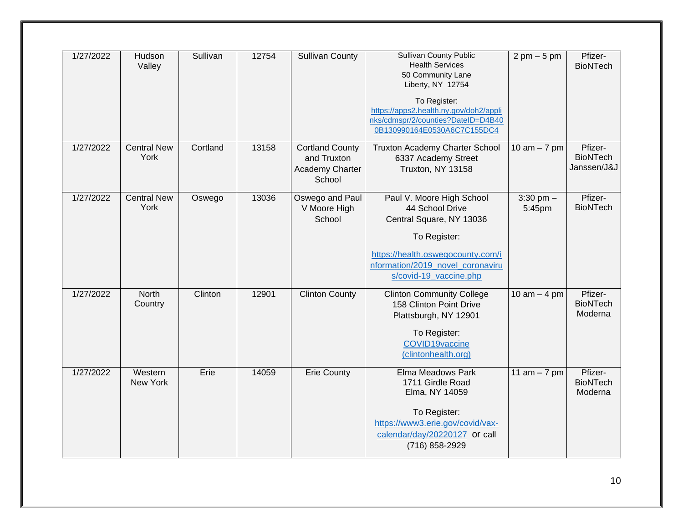| 1/27/2022 | Hudson<br>Valley           | Sullivan | 12754 | <b>Sullivan County</b>                                             | <b>Sullivan County Public</b><br><b>Health Services</b><br>50 Community Lane<br>Liberty, NY 12754<br>To Register:<br>https://apps2.health.ny.gov/doh2/appli<br>nks/cdmspr/2/counties?DateID=D4B40<br>0B130990164E0530A6C7C155DC4 | $2 \text{ pm} - 5 \text{ pm}$ | Pfizer-<br><b>BioNTech</b>                |
|-----------|----------------------------|----------|-------|--------------------------------------------------------------------|----------------------------------------------------------------------------------------------------------------------------------------------------------------------------------------------------------------------------------|-------------------------------|-------------------------------------------|
| 1/27/2022 | <b>Central New</b><br>York | Cortland | 13158 | <b>Cortland County</b><br>and Truxton<br>Academy Charter<br>School | Truxton Academy Charter School<br>6337 Academy Street<br>Truxton, NY 13158                                                                                                                                                       | 10 am $-7$ pm                 | Pfizer-<br><b>BioNTech</b><br>Janssen/J&J |
| 1/27/2022 | <b>Central New</b><br>York | Oswego   | 13036 | Oswego and Paul<br>V Moore High<br>School                          | Paul V. Moore High School<br>44 School Drive<br>Central Square, NY 13036<br>To Register:<br>https://health.oswegocounty.com/i<br>nformation/2019 novel coronaviru<br>s/covid-19_vaccine.php                                      | $3:30$ pm $-$<br>5:45pm       | Pfizer-<br><b>BioNTech</b>                |
| 1/27/2022 | <b>North</b><br>Country    | Clinton  | 12901 | <b>Clinton County</b>                                              | <b>Clinton Community College</b><br>158 Clinton Point Drive<br>Plattsburgh, NY 12901<br>To Register:<br>COVID19vaccine<br>(clintonhealth.org)                                                                                    | 10 am $-$ 4 pm                | Pfizer-<br><b>BioNTech</b><br>Moderna     |
| 1/27/2022 | Western<br>New York        | Erie     | 14059 | <b>Erie County</b>                                                 | Elma Meadows Park<br>1711 Girdle Road<br>Elma, NY 14059<br>To Register:<br>https://www3.erie.gov/covid/vax-<br>calendar/day/20220127 or call<br>(716) 858-2929                                                                   | 11 $am - 7 pm$                | Pfizer-<br><b>BioNTech</b><br>Moderna     |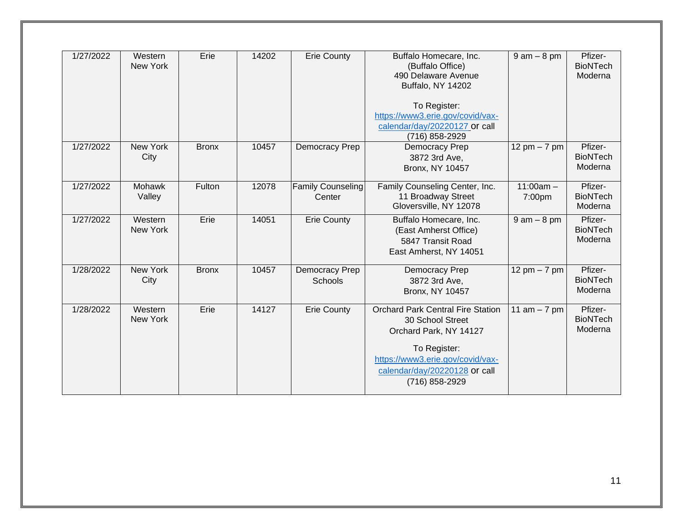| 1/27/2022 | Western<br>New York     | Erie         | 14202 | <b>Erie County</b>                 | Buffalo Homecare, Inc.<br>(Buffalo Office)<br>490 Delaware Avenue<br>Buffalo, NY 14202<br>To Register:<br>https://www3.erie.gov/covid/vax-<br>calendar/day/20220127 or call<br>(716) 858-2929 | $9$ am $-$ 8 pm       | Pfizer-<br><b>BioNTech</b><br>Moderna |
|-----------|-------------------------|--------------|-------|------------------------------------|-----------------------------------------------------------------------------------------------------------------------------------------------------------------------------------------------|-----------------------|---------------------------------------|
| 1/27/2022 | New York<br>City        | <b>Bronx</b> | 10457 | Democracy Prep                     | Democracy Prep<br>3872 3rd Ave,<br><b>Bronx, NY 10457</b>                                                                                                                                     | 12 pm $-7$ pm         | Pfizer-<br><b>BioNTech</b><br>Moderna |
| 1/27/2022 | Mohawk<br>Valley        | Fulton       | 12078 | <b>Family Counseling</b><br>Center | Family Counseling Center, Inc.<br>11 Broadway Street<br>Gloversville, NY 12078                                                                                                                | $11:00am -$<br>7:00pm | Pfizer-<br><b>BioNTech</b><br>Moderna |
| 1/27/2022 | Western<br>New York     | Erie         | 14051 | <b>Erie County</b>                 | Buffalo Homecare, Inc.<br>(East Amherst Office)<br>5847 Transit Road<br>East Amherst, NY 14051                                                                                                | $9$ am $-8$ pm        | Pfizer-<br><b>BioNTech</b><br>Moderna |
| 1/28/2022 | <b>New York</b><br>City | <b>Bronx</b> | 10457 | Democracy Prep<br>Schools          | Democracy Prep<br>3872 3rd Ave,<br><b>Bronx, NY 10457</b>                                                                                                                                     | 12 pm $-7$ pm         | Pfizer-<br><b>BioNTech</b><br>Moderna |
| 1/28/2022 | Western<br>New York     | Erie         | 14127 | <b>Erie County</b>                 | <b>Orchard Park Central Fire Station</b><br>30 School Street<br>Orchard Park, NY 14127<br>To Register:<br>https://www3.erie.gov/covid/vax-<br>calendar/day/20220128 or call<br>(716) 858-2929 | 11 $am - 7 pm$        | Pfizer-<br><b>BioNTech</b><br>Moderna |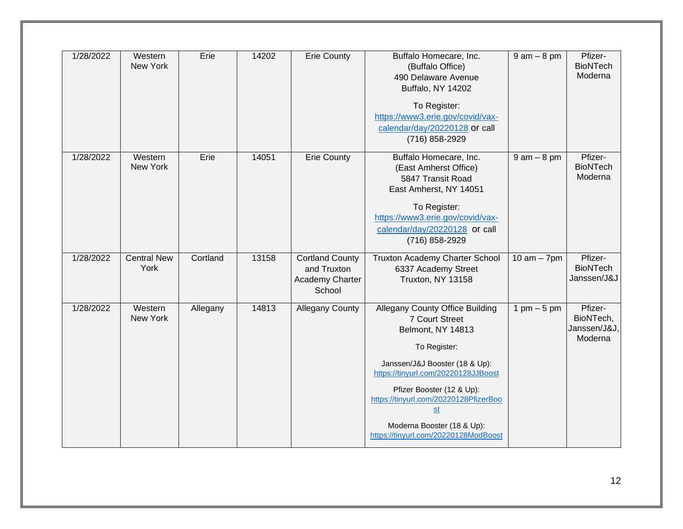| 1/28/2022 | Western<br>New York        | Erie     | 14202 | <b>Erie County</b>                                                        | Buffalo Homecare, Inc.<br>(Buffalo Office)<br>490 Delaware Avenue<br><b>Buffalo, NY 14202</b><br>To Register:<br>https://www3.erie.gov/covid/vax-<br>calendar/day/20220128 or call<br>(716) 858-2929                                                                                                                                     | $9$ am $-8$ pm | Pfizer-<br><b>BioNTech</b><br>Moderna           |
|-----------|----------------------------|----------|-------|---------------------------------------------------------------------------|------------------------------------------------------------------------------------------------------------------------------------------------------------------------------------------------------------------------------------------------------------------------------------------------------------------------------------------|----------------|-------------------------------------------------|
| 1/28/2022 | Western<br>New York        | Erie     | 14051 | <b>Erie County</b>                                                        | Buffalo Homecare, Inc.<br>(East Amherst Office)<br>5847 Transit Road<br>East Amherst, NY 14051<br>To Register:<br>https://www3.erie.gov/covid/vax-<br>calendar/day/20220128 or call<br>(716) 858-2929                                                                                                                                    | $9$ am $-8$ pm | Pfizer-<br><b>BioNTech</b><br>Moderna           |
| 1/28/2022 | <b>Central New</b><br>York | Cortland | 13158 | <b>Cortland County</b><br>and Truxton<br><b>Academy Charter</b><br>School | Truxton Academy Charter School<br>6337 Academy Street<br>Truxton, NY 13158                                                                                                                                                                                                                                                               | 10 am $-$ 7pm  | Pfizer-<br><b>BioNTech</b><br>Janssen/J&J       |
| 1/28/2022 | Western<br>New York        | Allegany | 14813 | <b>Allegany County</b>                                                    | Allegany County Office Building<br>7 Court Street<br>Belmont, NY 14813<br>To Register:<br>Janssen/J&J Booster (18 & Up):<br>https://tinyurl.com/20220128JJBoost<br>Pfizer Booster (12 & Up):<br>https://tinyurl.com/20220128PfizerBoo<br>$\underline{\mathsf{st}}$<br>Moderna Booster (18 & Up):<br>https://tinyurl.com/20220128ModBoost | 1 pm $-5$ pm   | Pfizer-<br>BioNTech,<br>Janssen/J&J,<br>Moderna |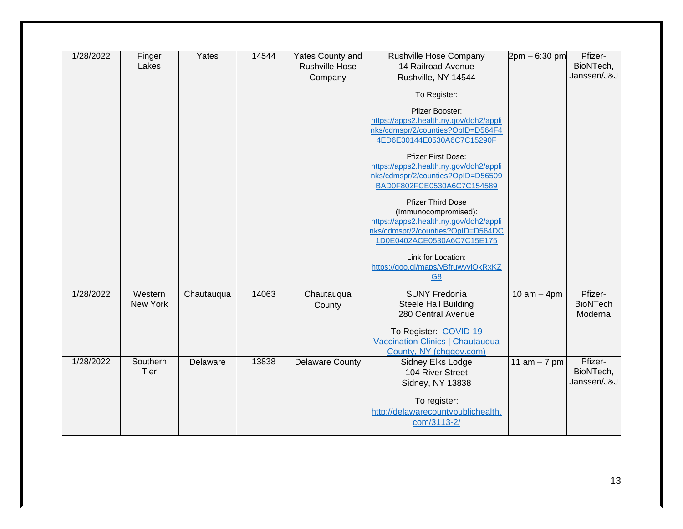| 1/28/2022 | Finger   | Yates      | 14544 | Yates County and       | Rushville Hose Company                 | $2pm - 6:30pm$ | Pfizer-         |
|-----------|----------|------------|-------|------------------------|----------------------------------------|----------------|-----------------|
|           | Lakes    |            |       | <b>Rushville Hose</b>  | 14 Railroad Avenue                     |                | BioNTech,       |
|           |          |            |       | Company                | Rushville, NY 14544                    |                | Janssen/J&J     |
|           |          |            |       |                        |                                        |                |                 |
|           |          |            |       |                        | To Register:                           |                |                 |
|           |          |            |       |                        | Pfizer Booster:                        |                |                 |
|           |          |            |       |                        | https://apps2.health.ny.gov/doh2/appli |                |                 |
|           |          |            |       |                        | nks/cdmspr/2/counties?OpID=D564F4      |                |                 |
|           |          |            |       |                        | 4ED6E30144E0530A6C7C15290F             |                |                 |
|           |          |            |       |                        |                                        |                |                 |
|           |          |            |       |                        | <b>Pfizer First Dose:</b>              |                |                 |
|           |          |            |       |                        | https://apps2.health.ny.gov/doh2/appli |                |                 |
|           |          |            |       |                        | nks/cdmspr/2/counties?OpID=D56509      |                |                 |
|           |          |            |       |                        | BAD0F802FCE0530A6C7C154589             |                |                 |
|           |          |            |       |                        |                                        |                |                 |
|           |          |            |       |                        | <b>Pfizer Third Dose</b>               |                |                 |
|           |          |            |       |                        | (Immunocompromised):                   |                |                 |
|           |          |            |       |                        | https://apps2.health.ny.gov/doh2/appli |                |                 |
|           |          |            |       |                        | nks/cdmspr/2/counties?OpID=D564DC      |                |                 |
|           |          |            |       |                        | 1D0E0402ACE0530A6C7C15E175             |                |                 |
|           |          |            |       |                        | Link for Location:                     |                |                 |
|           |          |            |       |                        |                                        |                |                 |
|           |          |            |       |                        | https://goo.gl/maps/yBfruwvyjQkRxKZ    |                |                 |
|           |          |            |       |                        | <b>G8</b>                              |                |                 |
| 1/28/2022 | Western  | Chautauqua | 14063 | Chautauqua             | <b>SUNY Fredonia</b>                   | $10 am - 4pm$  | Pfizer-         |
|           | New York |            |       | County                 | <b>Steele Hall Building</b>            |                | <b>BioNTech</b> |
|           |          |            |       |                        | 280 Central Avenue                     |                | Moderna         |
|           |          |            |       |                        |                                        |                |                 |
|           |          |            |       |                        | To Register: COVID-19                  |                |                 |
|           |          |            |       |                        | Vaccination Clinics   Chautauqua       |                |                 |
|           |          |            |       |                        | County, NY (chqgov.com)                |                |                 |
| 1/28/2022 | Southern | Delaware   | 13838 | <b>Delaware County</b> | Sidney Elks Lodge                      | 11 $am - 7 pm$ | Pfizer-         |
|           | Tier     |            |       |                        | 104 River Street                       |                | BioNTech,       |
|           |          |            |       |                        |                                        |                | Janssen/J&J     |
|           |          |            |       |                        | Sidney, NY 13838                       |                |                 |
|           |          |            |       |                        | To register:                           |                |                 |
|           |          |            |       |                        | http://delawarecountypublichealth.     |                |                 |
|           |          |            |       |                        | com/3113-2/                            |                |                 |
|           |          |            |       |                        |                                        |                |                 |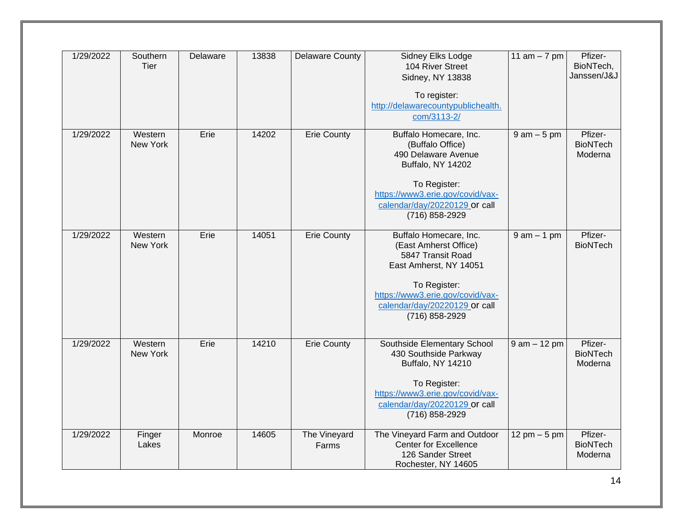| 1/29/2022 | Southern<br>Tier    | Delaware | 13838 | <b>Delaware County</b> | <b>Sidney Elks Lodge</b><br>104 River Street<br>Sidney, NY 13838<br>To register:<br>http://delawarecountypublichealth.<br>com/3113-2/                                                                 | 11 am $-7$ pm                  | Pfizer-<br>BioNTech,<br>Janssen/J&J   |
|-----------|---------------------|----------|-------|------------------------|-------------------------------------------------------------------------------------------------------------------------------------------------------------------------------------------------------|--------------------------------|---------------------------------------|
| 1/29/2022 | Western<br>New York | Erie     | 14202 | <b>Erie County</b>     | Buffalo Homecare, Inc.<br>(Buffalo Office)<br>490 Delaware Avenue<br>Buffalo, NY 14202<br>To Register:<br>https://www3.erie.gov/covid/vax-<br>calendar/day/20220129 or call<br>(716) 858-2929         | $9$ am $-5$ pm                 | Pfizer-<br><b>BioNTech</b><br>Moderna |
| 1/29/2022 | Western<br>New York | Erie     | 14051 | <b>Erie County</b>     | Buffalo Homecare, Inc.<br>(East Amherst Office)<br>5847 Transit Road<br>East Amherst, NY 14051<br>To Register:<br>https://www3.erie.gov/covid/vax-<br>calendar/day/20220129 or call<br>(716) 858-2929 | $9$ am $-1$ pm                 | Pfizer-<br><b>BioNTech</b>            |
| 1/29/2022 | Western<br>New York | Erie     | 14210 | <b>Erie County</b>     | Southside Elementary School<br>430 Southside Parkway<br>Buffalo, NY 14210<br>To Register:<br>https://www3.erie.gov/covid/vax-<br>calendar/day/20220129 or call<br>(716) 858-2929                      | $9$ am $-12$ pm                | Pfizer-<br><b>BioNTech</b><br>Moderna |
| 1/29/2022 | Finger<br>Lakes     | Monroe   | 14605 | The Vineyard<br>Farms  | The Vineyard Farm and Outdoor<br><b>Center for Excellence</b><br>126 Sander Street<br>Rochester, NY 14605                                                                                             | $12 \text{ pm} - 5 \text{ pm}$ | Pfizer-<br><b>BioNTech</b><br>Moderna |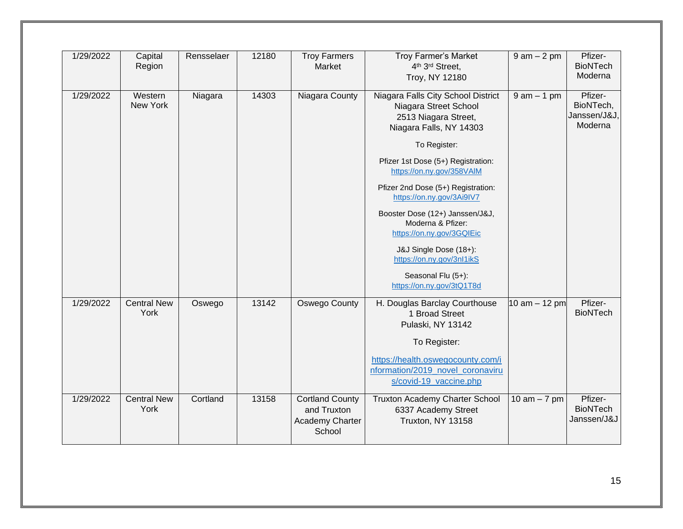| 1/29/2022 | Capital<br>Region          | Rensselaer | 12180 | <b>Troy Farmers</b><br>Market                                             | <b>Troy Farmer's Market</b><br>4th 3rd Street,<br>Troy, NY 12180                                                                                                                                  | $9 am - 2 pm$   | Pfizer-<br><b>BioNTech</b><br>Moderna           |
|-----------|----------------------------|------------|-------|---------------------------------------------------------------------------|---------------------------------------------------------------------------------------------------------------------------------------------------------------------------------------------------|-----------------|-------------------------------------------------|
| 1/29/2022 | Western<br>New York        | Niagara    | 14303 | Niagara County                                                            | Niagara Falls City School District<br>Niagara Street School<br>2513 Niagara Street,<br>Niagara Falls, NY 14303<br>To Register:<br>Pfizer 1st Dose (5+) Registration:<br>https://on.ny.gov/358VAIM | $9$ am $-1$ pm  | Pfizer-<br>BioNTech,<br>Janssen/J&J,<br>Moderna |
|           |                            |            |       |                                                                           | Pfizer 2nd Dose (5+) Registration:<br>https://on.ny.gov/3Ai9IV7<br>Booster Dose (12+) Janssen/J&J,<br>Moderna & Pfizer:<br>https://on.ny.gov/3GQIEic                                              |                 |                                                 |
|           |                            |            |       |                                                                           | J&J Single Dose (18+):<br>https://on.ny.gov/3nl1ikS<br>Seasonal Flu (5+):<br>https://on.ny.gov/3tQ1T8d                                                                                            |                 |                                                 |
| 1/29/2022 | <b>Central New</b><br>York | Oswego     | 13142 | Oswego County                                                             | H. Douglas Barclay Courthouse<br>1 Broad Street<br>Pulaski, NY 13142<br>To Register:                                                                                                              | 10 am $-$ 12 pm | Pfizer-<br><b>BioNTech</b>                      |
|           |                            |            |       |                                                                           | https://health.oswegocounty.com/i<br>nformation/2019 novel coronaviru<br>s/covid-19_vaccine.php                                                                                                   |                 |                                                 |
| 1/29/2022 | <b>Central New</b><br>York | Cortland   | 13158 | <b>Cortland County</b><br>and Truxton<br><b>Academy Charter</b><br>School | Truxton Academy Charter School<br>6337 Academy Street<br>Truxton, NY 13158                                                                                                                        | 10 am $-7$ pm   | Pfizer-<br><b>BioNTech</b><br>Janssen/J&J       |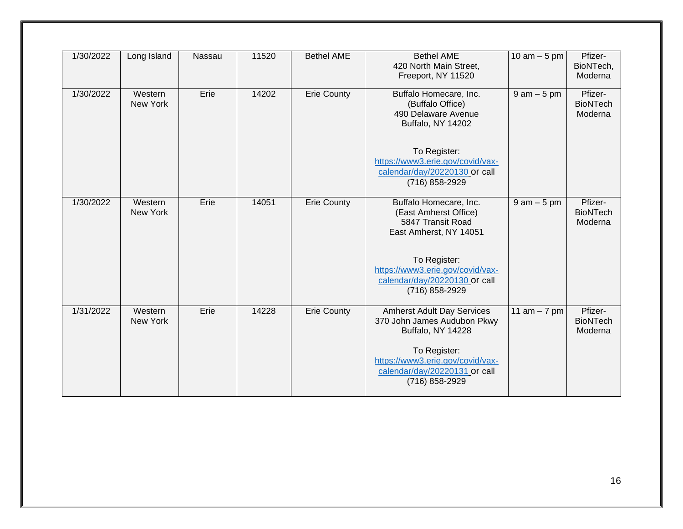| 1/30/2022 | Long Island         | Nassau | 11520 | <b>Bethel AME</b>  | <b>Bethel AME</b><br>420 North Main Street,<br>Freeport, NY 11520                                   | 10 $am - 5 pm$ | Pfizer-<br>BioNTech,<br>Moderna       |
|-----------|---------------------|--------|-------|--------------------|-----------------------------------------------------------------------------------------------------|----------------|---------------------------------------|
| 1/30/2022 | Western<br>New York | Erie   | 14202 | <b>Erie County</b> | Buffalo Homecare, Inc.<br>(Buffalo Office)<br>490 Delaware Avenue<br>Buffalo, NY 14202              | $9$ am $-5$ pm | Pfizer-<br><b>BioNTech</b><br>Moderna |
|           |                     |        |       |                    | To Register:<br>https://www3.erie.gov/covid/vax-<br>calendar/day/20220130 or call<br>(716) 858-2929 |                |                                       |
| 1/30/2022 | Western<br>New York | Erie   | 14051 | <b>Erie County</b> | Buffalo Homecare, Inc.<br>(East Amherst Office)<br>5847 Transit Road<br>East Amherst, NY 14051      | $9$ am $-5$ pm | Pfizer-<br><b>BioNTech</b><br>Moderna |
|           |                     |        |       |                    | To Register:<br>https://www3.erie.gov/covid/vax-<br>calendar/day/20220130 or call<br>(716) 858-2929 |                |                                       |
| 1/31/2022 | Western<br>New York | Erie   | 14228 | <b>Erie County</b> | <b>Amherst Adult Day Services</b><br>370 John James Audubon Pkwy<br>Buffalo, NY 14228               | 11 am $-7$ pm  | Pfizer-<br><b>BioNTech</b><br>Moderna |
|           |                     |        |       |                    | To Register:<br>https://www3.erie.gov/covid/vax-<br>calendar/day/20220131 or call<br>(716) 858-2929 |                |                                       |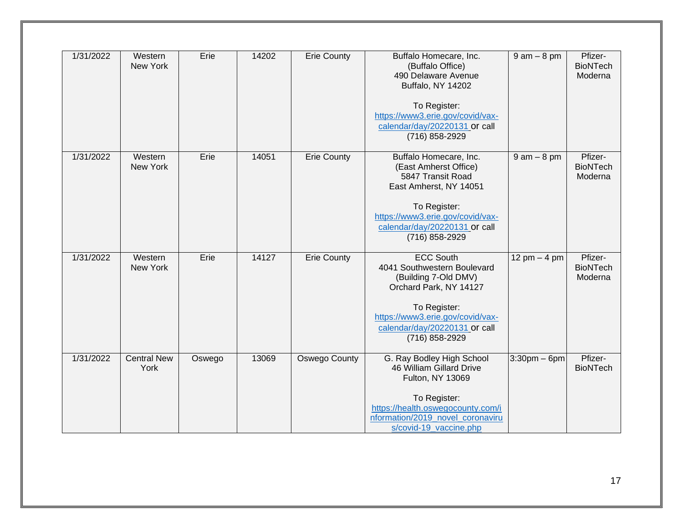| 1/31/2022 | Western<br>New York        | Erie   | 14202 | <b>Erie County</b> | Buffalo Homecare, Inc.<br>(Buffalo Office)<br>490 Delaware Avenue<br>Buffalo, NY 14202<br>To Register:<br>https://www3.erie.gov/covid/vax-<br>calendar/day/20220131 or call<br>(716) 858-2929            | $9$ am $-8$ pm  | Pfizer-<br><b>BioNTech</b><br>Moderna |
|-----------|----------------------------|--------|-------|--------------------|----------------------------------------------------------------------------------------------------------------------------------------------------------------------------------------------------------|-----------------|---------------------------------------|
| 1/31/2022 | Western<br>New York        | Erie   | 14051 | Erie County        | Buffalo Homecare, Inc.<br>(East Amherst Office)<br>5847 Transit Road<br>East Amherst, NY 14051<br>To Register:<br>https://www3.erie.gov/covid/vax-<br>calendar/day/20220131 or call<br>(716) 858-2929    | $9$ am $-8$ pm  | Pfizer-<br><b>BioNTech</b><br>Moderna |
| 1/31/2022 | Western<br>New York        | Erie   | 14127 | <b>Erie County</b> | <b>ECC South</b><br>4041 Southwestern Boulevard<br>(Building 7-Old DMV)<br>Orchard Park, NY 14127<br>To Register:<br>https://www3.erie.gov/covid/vax-<br>calendar/day/20220131 or call<br>(716) 858-2929 | 12 pm $-$ 4 pm  | Pfizer-<br><b>BioNTech</b><br>Moderna |
| 1/31/2022 | <b>Central New</b><br>York | Oswego | 13069 | Oswego County      | G. Ray Bodley High School<br>46 William Gillard Drive<br>Fulton, NY 13069<br>To Register:<br>https://health.oswegocounty.com/i<br>nformation/2019_novel_coronaviru<br>s/covid-19_vaccine.php             | $3:30$ pm – 6pm | Pfizer-<br><b>BioNTech</b>            |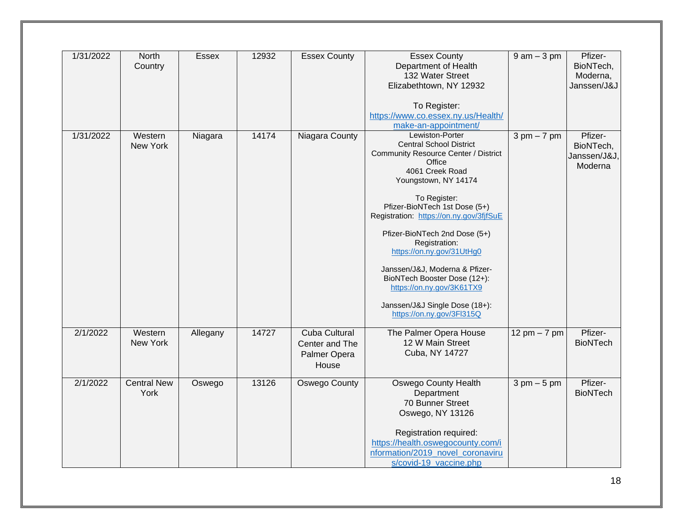| 1/31/2022             | North<br>Country           | Essex    | 12932 | <b>Essex County</b>                                             | <b>Essex County</b><br>Department of Health<br>132 Water Street<br>Elizabethtown, NY 12932<br>To Register:<br>https://www.co.essex.ny.us/Health/                                                                                                                                                                                                                                                                                                                                                                       | $9$ am $-3$ pm                | Pfizer-<br>BioNTech,<br>Moderna,<br>Janssen/J&J |
|-----------------------|----------------------------|----------|-------|-----------------------------------------------------------------|------------------------------------------------------------------------------------------------------------------------------------------------------------------------------------------------------------------------------------------------------------------------------------------------------------------------------------------------------------------------------------------------------------------------------------------------------------------------------------------------------------------------|-------------------------------|-------------------------------------------------|
| 1/31/2022             | Western<br>New York        | Niagara  | 14174 | Niagara County                                                  | make-an-appointment/<br>Lewiston-Porter<br><b>Central School District</b><br><b>Community Resource Center / District</b><br>Office<br>4061 Creek Road<br>Youngstown, NY 14174<br>To Register:<br>Pfizer-BioNTech 1st Dose (5+)<br>Registration: https://on.ny.gov/3fjfSuE<br>Pfizer-BioNTech 2nd Dose (5+)<br>Registration:<br>https://on.ny.gov/31UtHg0<br>Janssen/J&J, Moderna & Pfizer-<br>BioNTech Booster Dose (12+):<br>https://on.ny.gov/3K61TX9<br>Janssen/J&J Single Dose (18+):<br>https://on.ny.gov/3Fl315Q | $3 \text{ pm} - 7 \text{ pm}$ | Pfizer-<br>BioNTech,<br>Janssen/J&J,<br>Moderna |
| $\overline{2}/1/2022$ | Western<br>New York        | Allegany | 14727 | <b>Cuba Cultural</b><br>Center and The<br>Palmer Opera<br>House | The Palmer Opera House<br>12 W Main Street<br>Cuba, NY 14727                                                                                                                                                                                                                                                                                                                                                                                                                                                           | 12 pm $-7$ pm                 | Pfizer-<br><b>BioNTech</b>                      |
| 2/1/2022              | <b>Central New</b><br>York | Oswego   | 13126 | Oswego County                                                   | <b>Oswego County Health</b><br>Department<br>70 Bunner Street<br>Oswego, NY 13126<br>Registration required:<br>https://health.oswegocounty.com/i<br>nformation/2019_novel_coronaviru<br>s/covid-19_vaccine.php                                                                                                                                                                                                                                                                                                         | $3 \text{ pm} - 5 \text{ pm}$ | Pfizer-<br><b>BioNTech</b>                      |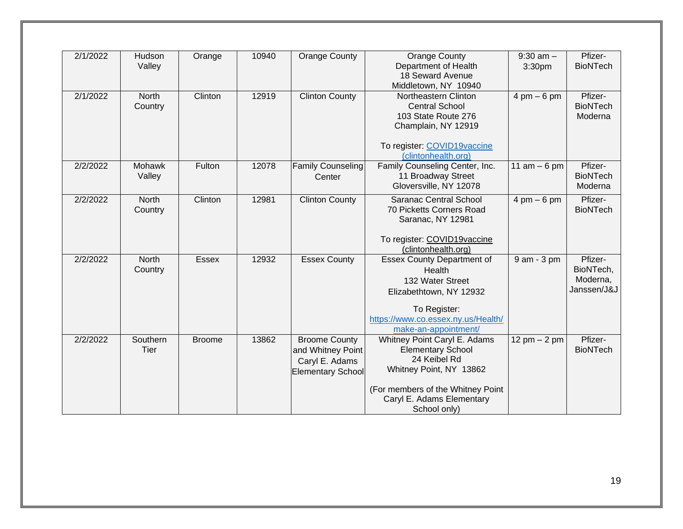| 2/1/2022 | Hudson       | Orange        | 10940 | <b>Orange County</b>     | <b>Orange County</b>               | $9:30$ am $-$                  | Pfizer-         |
|----------|--------------|---------------|-------|--------------------------|------------------------------------|--------------------------------|-----------------|
|          | Valley       |               |       |                          | Department of Health               | 3:30pm                         | <b>BioNTech</b> |
|          |              |               |       |                          | 18 Seward Avenue                   |                                |                 |
|          |              |               |       |                          | Middletown, NY 10940               |                                |                 |
| 2/1/2022 | <b>North</b> | Clinton       | 12919 | <b>Clinton County</b>    | Northeastern Clinton               | $4 \text{ pm} - 6 \text{ pm}$  | Pfizer-         |
|          | Country      |               |       |                          | <b>Central School</b>              |                                | <b>BioNTech</b> |
|          |              |               |       |                          | 103 State Route 276                |                                | Moderna         |
|          |              |               |       |                          | Champlain, NY 12919                |                                |                 |
|          |              |               |       |                          |                                    |                                |                 |
|          |              |               |       |                          | To register: COVID19vaccine        |                                |                 |
|          |              |               |       |                          | (clintonhealth.org)                |                                |                 |
| 2/2/2022 | Mohawk       | Fulton        | 12078 | Family Counseling        | Family Counseling Center, Inc.     | 11 $am - 6 pm$                 | Pfizer-         |
|          | Valley       |               |       | Center                   | 11 Broadway Street                 |                                | <b>BioNTech</b> |
|          |              |               |       |                          | Gloversville, NY 12078             |                                | Moderna         |
|          |              |               |       |                          |                                    |                                |                 |
| 2/2/2022 | <b>North</b> | Clinton       | 12981 | <b>Clinton County</b>    | Saranac Central School             | $4 \text{ pm} - 6 \text{ pm}$  | Pfizer-         |
|          | Country      |               |       |                          | 70 Picketts Corners Road           |                                | <b>BioNTech</b> |
|          |              |               |       |                          | Saranac, NY 12981                  |                                |                 |
|          |              |               |       |                          |                                    |                                |                 |
|          |              |               |       |                          | To register: COVID19vaccine        |                                |                 |
|          |              |               |       |                          | (clintonhealth.org)                |                                |                 |
| 2/2/2022 | <b>North</b> | <b>Essex</b>  | 12932 | <b>Essex County</b>      | <b>Essex County Department of</b>  | 9 am - 3 pm                    | Pfizer-         |
|          | Country      |               |       |                          | Health                             |                                | BioNTech,       |
|          |              |               |       |                          | 132 Water Street                   |                                | Moderna,        |
|          |              |               |       |                          | Elizabethtown, NY 12932            |                                | Janssen/J&J     |
|          |              |               |       |                          |                                    |                                |                 |
|          |              |               |       |                          | To Register:                       |                                |                 |
|          |              |               |       |                          | https://www.co.essex.ny.us/Health/ |                                |                 |
|          |              |               |       |                          | make-an-appointment/               |                                |                 |
| 2/2/2022 | Southern     | <b>Broome</b> | 13862 | <b>Broome County</b>     | Whitney Point Caryl E. Adams       | $12 \text{ pm} - 2 \text{ pm}$ | Pfizer-         |
|          | Tier         |               |       | and Whitney Point        | <b>Elementary School</b>           |                                | <b>BioNTech</b> |
|          |              |               |       | Caryl E. Adams           | 24 Keibel Rd                       |                                |                 |
|          |              |               |       | <b>Elementary School</b> | Whitney Point, NY 13862            |                                |                 |
|          |              |               |       |                          |                                    |                                |                 |
|          |              |               |       |                          | (For members of the Whitney Point  |                                |                 |
|          |              |               |       |                          | Caryl E. Adams Elementary          |                                |                 |
|          |              |               |       |                          | School only)                       |                                |                 |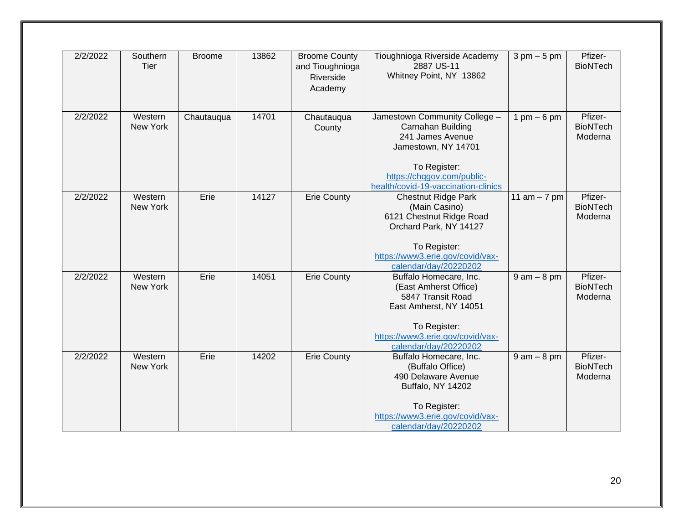| 2/2/2022 | Southern<br>Tier    | <b>Broome</b> | 13862 | <b>Broome County</b><br>and Tioughnioga<br>Riverside<br>Academy | Tioughnioga Riverside Academy<br>2887 US-11<br>Whitney Point, NY 13862                                                                                                             | $3 \text{ pm} - 5 \text{ pm}$ | Pfizer-<br><b>BioNTech</b>            |
|----------|---------------------|---------------|-------|-----------------------------------------------------------------|------------------------------------------------------------------------------------------------------------------------------------------------------------------------------------|-------------------------------|---------------------------------------|
| 2/2/2022 | Western<br>New York | Chautauqua    | 14701 | Chautauqua<br>County                                            | Jamestown Community College -<br>Carnahan Building<br>241 James Avenue<br>Jamestown, NY 14701<br>To Register:<br>https://chqgov.com/public-<br>health/covid-19-vaccination-clinics | $1 \text{ pm} - 6 \text{ pm}$ | Pfizer-<br><b>BioNTech</b><br>Moderna |
| 2/2/2022 | Western<br>New York | Erie          | 14127 | <b>Erie County</b>                                              | <b>Chestnut Ridge Park</b><br>(Main Casino)<br>6121 Chestnut Ridge Road<br>Orchard Park, NY 14127<br>To Register:<br>https://www3.erie.gov/covid/vax-<br>calendar/day/20220202     | 11 $am - 7 pm$                | Pfizer-<br><b>BioNTech</b><br>Moderna |
| 2/2/2022 | Western<br>New York | Erie          | 14051 | <b>Erie County</b>                                              | Buffalo Homecare, Inc.<br>(East Amherst Office)<br>5847 Transit Road<br>East Amherst, NY 14051<br>To Register:<br>https://www3.erie.gov/covid/vax-<br>calendar/day/20220202        | $9$ am $-$ 8 pm               | Pfizer-<br><b>BioNTech</b><br>Moderna |
| 2/2/2022 | Western<br>New York | Erie          | 14202 | <b>Erie County</b>                                              | Buffalo Homecare, Inc.<br>(Buffalo Office)<br>490 Delaware Avenue<br>Buffalo, NY 14202<br>To Register:<br>https://www3.erie.gov/covid/vax-<br>calendar/day/20220202                | $9$ am $-$ 8 pm               | Pfizer-<br><b>BioNTech</b><br>Moderna |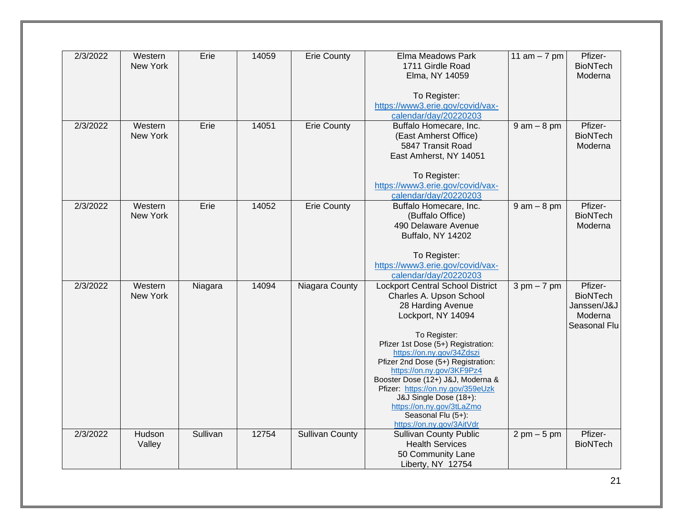| 2/3/2022 | Western  | Erie     | 14059 | <b>Erie County</b>     | Elma Meadows Park                       | 11 $am - 7 pm$                | Pfizer-         |
|----------|----------|----------|-------|------------------------|-----------------------------------------|-------------------------------|-----------------|
|          | New York |          |       |                        | 1711 Girdle Road                        |                               | <b>BioNTech</b> |
|          |          |          |       |                        | Elma, NY 14059                          |                               | Moderna         |
|          |          |          |       |                        |                                         |                               |                 |
|          |          |          |       |                        | To Register:                            |                               |                 |
|          |          |          |       |                        | https://www3.erie.gov/covid/vax-        |                               |                 |
|          |          |          |       |                        | calendar/day/20220203                   |                               |                 |
| 2/3/2022 | Western  | Erie     | 14051 | <b>Erie County</b>     | Buffalo Homecare, Inc.                  | $9$ am $-$ 8 pm               | Pfizer-         |
|          | New York |          |       |                        | (East Amherst Office)                   |                               | <b>BioNTech</b> |
|          |          |          |       |                        | 5847 Transit Road                       |                               | Moderna         |
|          |          |          |       |                        | East Amherst, NY 14051                  |                               |                 |
|          |          |          |       |                        |                                         |                               |                 |
|          |          |          |       |                        | To Register:                            |                               |                 |
|          |          |          |       |                        | https://www3.erie.gov/covid/vax-        |                               |                 |
|          |          |          |       |                        | calendar/day/20220203                   |                               |                 |
| 2/3/2022 | Western  | Erie     | 14052 | <b>Erie County</b>     | Buffalo Homecare, Inc.                  | $9$ am $-$ 8 pm               | Pfizer-         |
|          | New York |          |       |                        | (Buffalo Office)                        |                               | <b>BioNTech</b> |
|          |          |          |       |                        | 490 Delaware Avenue                     |                               | Moderna         |
|          |          |          |       |                        | Buffalo, NY 14202                       |                               |                 |
|          |          |          |       |                        |                                         |                               |                 |
|          |          |          |       |                        | To Register:                            |                               |                 |
|          |          |          |       |                        | https://www3.erie.gov/covid/vax-        |                               |                 |
|          |          |          |       |                        | calendar/day/20220203                   |                               |                 |
| 2/3/2022 | Western  | Niagara  | 14094 | Niagara County         | <b>Lockport Central School District</b> | $3 \text{ pm} - 7 \text{ pm}$ | Pfizer-         |
|          | New York |          |       |                        | Charles A. Upson School                 |                               | <b>BioNTech</b> |
|          |          |          |       |                        | 28 Harding Avenue                       |                               | Janssen/J&J     |
|          |          |          |       |                        | Lockport, NY 14094                      |                               | Moderna         |
|          |          |          |       |                        |                                         |                               | Seasonal Flu    |
|          |          |          |       |                        | To Register:                            |                               |                 |
|          |          |          |       |                        | Pfizer 1st Dose (5+) Registration:      |                               |                 |
|          |          |          |       |                        | https://on.ny.gov/34Zdszi               |                               |                 |
|          |          |          |       |                        | Pfizer 2nd Dose (5+) Registration:      |                               |                 |
|          |          |          |       |                        | https://on.ny.gov/3KF9Pz4               |                               |                 |
|          |          |          |       |                        | Booster Dose (12+) J&J, Moderna &       |                               |                 |
|          |          |          |       |                        | Pfizer: https://on.ny.gov/359eUzk       |                               |                 |
|          |          |          |       |                        | J&J Single Dose (18+):                  |                               |                 |
|          |          |          |       |                        | https://on.ny.gov/3tLaZmo               |                               |                 |
|          |          |          |       |                        | Seasonal Flu (5+):                      |                               |                 |
|          |          |          |       |                        | https://on.ny.gov/3AitVdr               |                               |                 |
| 2/3/2022 | Hudson   | Sullivan | 12754 | <b>Sullivan County</b> | <b>Sullivan County Public</b>           | $2 \text{ pm} - 5 \text{ pm}$ | Pfizer-         |
|          | Valley   |          |       |                        | <b>Health Services</b>                  |                               | <b>BioNTech</b> |
|          |          |          |       |                        | 50 Community Lane                       |                               |                 |
|          |          |          |       |                        | Liberty, NY 12754                       |                               |                 |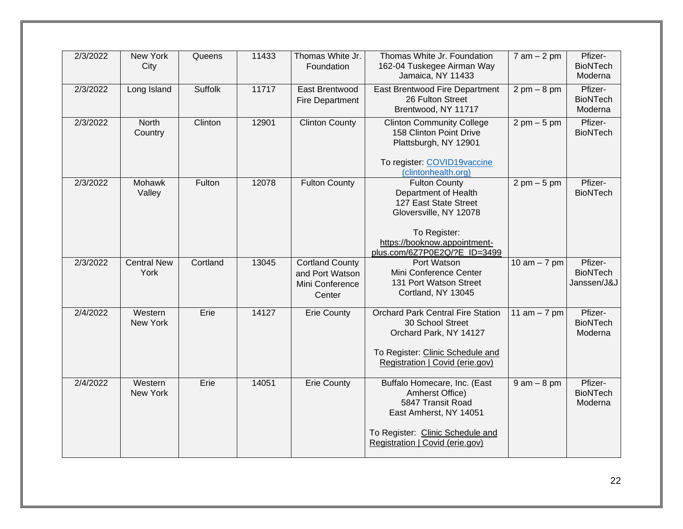| 2/3/2022 | <b>New York</b><br>City    | Queens         | 11433 | Thomas White Jr.<br>Foundation                                         | Thomas White Jr. Foundation<br>162-04 Tuskegee Airman Way<br>Jamaica, NY 11433                                                                                                  | $7$ am $-2$ pm                | Pfizer-<br><b>BioNTech</b><br>Moderna     |
|----------|----------------------------|----------------|-------|------------------------------------------------------------------------|---------------------------------------------------------------------------------------------------------------------------------------------------------------------------------|-------------------------------|-------------------------------------------|
| 2/3/2022 | Long Island                | <b>Suffolk</b> | 11717 | East Brentwood<br><b>Fire Department</b>                               | East Brentwood Fire Department<br>26 Fulton Street<br>Brentwood, NY 11717                                                                                                       | $2 \text{ pm} - 8 \text{ pm}$ | Pfizer-<br><b>BioNTech</b><br>Moderna     |
| 2/3/2022 | <b>North</b><br>Country    | Clinton        | 12901 | <b>Clinton County</b>                                                  | <b>Clinton Community College</b><br>158 Clinton Point Drive<br>Plattsburgh, NY 12901<br>To register: COVID19vaccine<br>(clintonhealth.org)                                      | $2 \text{ pm} - 5 \text{ pm}$ | Pfizer-<br><b>BioNTech</b>                |
| 2/3/2022 | <b>Mohawk</b><br>Valley    | Fulton         | 12078 | <b>Fulton County</b>                                                   | <b>Fulton County</b><br>Department of Health<br>127 East State Street<br>Gloversville, NY 12078<br>To Register:<br>https://booknow.appointment-<br>plus.com/6Z7P0E2Q/?E ID=3499 | $2 \text{ pm} - 5 \text{ pm}$ | Pfizer-<br><b>BioNTech</b>                |
| 2/3/2022 | <b>Central New</b><br>York | Cortland       | 13045 | <b>Cortland County</b><br>and Port Watson<br>Mini Conference<br>Center | Port Watson<br>Mini Conference Center<br>131 Port Watson Street<br>Cortland, NY 13045                                                                                           | 10 am $-7$ pm                 | Pfizer-<br><b>BioNTech</b><br>Janssen/J&J |
| 2/4/2022 | Western<br>New York        | Erie           | 14127 | <b>Erie County</b>                                                     | <b>Orchard Park Central Fire Station</b><br>30 School Street<br>Orchard Park, NY 14127<br>To Register: Clinic Schedule and<br>Registration   Covid (erie.gov)                   | 11 $am - 7 pm$                | Pfizer-<br><b>BioNTech</b><br>Moderna     |
| 2/4/2022 | Western<br>New York        | Erie           | 14051 | <b>Erie County</b>                                                     | Buffalo Homecare, Inc. (East<br>Amherst Office)<br>5847 Transit Road<br>East Amherst, NY 14051<br>To Register: Clinic Schedule and<br>Registration   Covid (erie.gov)           | $9$ am $-8$ pm                | Pfizer-<br><b>BioNTech</b><br>Moderna     |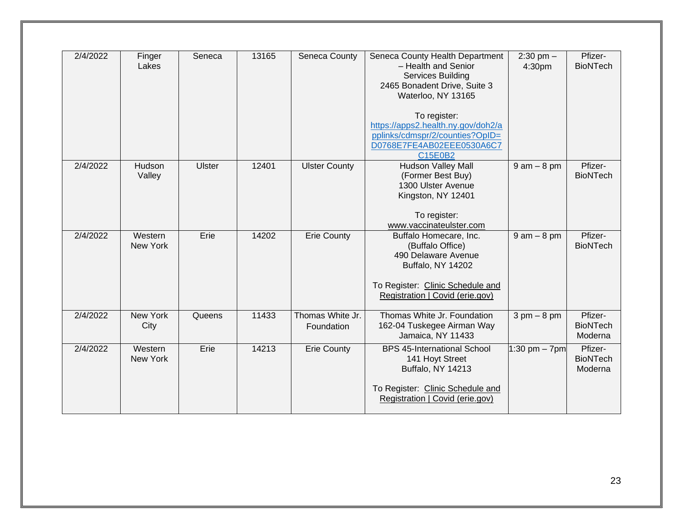| 2/4/2022 | Finger<br>Lakes     | Seneca | 13165 | Seneca County                  | Seneca County Health Department<br>- Health and Senior<br><b>Services Building</b><br>2465 Bonadent Drive, Suite 3<br>Waterloo, NY 13165<br>To register:<br>https://apps2.health.ny.gov/doh2/a<br>pplinks/cdmspr/2/counties?OpID=<br>D0768E7FE4AB02EEE0530A6C7<br>C15E0B2 | $2:30$ pm $-$<br>4:30pm       | Pfizer-<br><b>BioNTech</b>            |
|----------|---------------------|--------|-------|--------------------------------|---------------------------------------------------------------------------------------------------------------------------------------------------------------------------------------------------------------------------------------------------------------------------|-------------------------------|---------------------------------------|
| 2/4/2022 | Hudson<br>Valley    | Ulster | 12401 | <b>Ulster County</b>           | <b>Hudson Valley Mall</b><br>(Former Best Buy)<br>1300 Ulster Avenue<br>Kingston, NY 12401<br>To register:<br>www.vaccinateulster.com                                                                                                                                     | $9$ am $-$ 8 pm               | Pfizer-<br><b>BioNTech</b>            |
| 2/4/2022 | Western<br>New York | Erie   | 14202 | <b>Erie County</b>             | Buffalo Homecare, Inc.<br>(Buffalo Office)<br>490 Delaware Avenue<br>Buffalo, NY 14202<br>To Register: Clinic Schedule and<br>Registration   Covid (erie.gov)                                                                                                             | $9$ am $-$ 8 pm               | Pfizer-<br><b>BioNTech</b>            |
| 2/4/2022 | New York<br>City    | Queens | 11433 | Thomas White Jr.<br>Foundation | Thomas White Jr. Foundation<br>162-04 Tuskegee Airman Way<br>Jamaica, NY 11433                                                                                                                                                                                            | $3 \text{ pm} - 8 \text{ pm}$ | Pfizer-<br><b>BioNTech</b><br>Moderna |
| 2/4/2022 | Western<br>New York | Erie   | 14213 | <b>Erie County</b>             | <b>BPS 45-International School</b><br>141 Hoyt Street<br><b>Buffalo, NY 14213</b><br>To Register: Clinic Schedule and<br>Registration   Covid (erie.gov)                                                                                                                  | 1:30 pm $-$ 7pm               | Pfizer-<br><b>BioNTech</b><br>Moderna |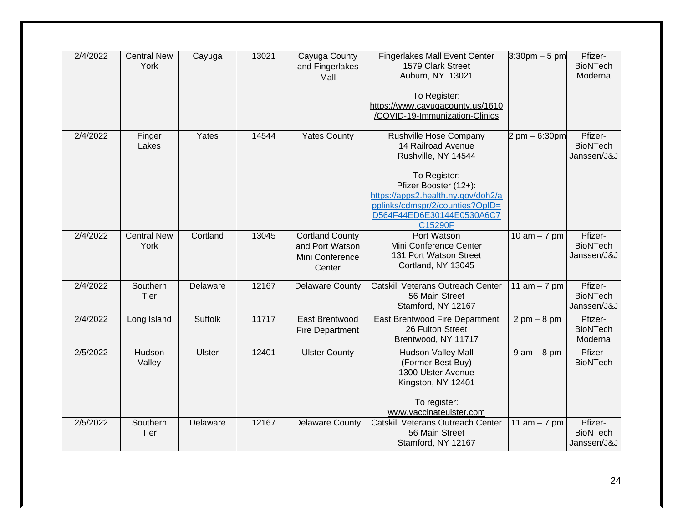| 2/4/2022 | <b>Central New</b><br>York | Cayuga         | 13021 | Cayuga County<br>and Fingerlakes         | <b>Fingerlakes Mall Event Center</b><br>1579 Clark Street | $3:30$ pm $-5$ pm                | Pfizer-<br><b>BioNTech</b> |
|----------|----------------------------|----------------|-------|------------------------------------------|-----------------------------------------------------------|----------------------------------|----------------------------|
|          |                            |                |       | Mall                                     | Auburn, NY 13021                                          |                                  | Moderna                    |
|          |                            |                |       |                                          | To Register:                                              |                                  |                            |
|          |                            |                |       |                                          | https://www.cayugacounty.us/1610                          |                                  |                            |
|          |                            |                |       |                                          | /COVID-19-Immunization-Clinics                            |                                  |                            |
|          |                            |                |       |                                          |                                                           |                                  |                            |
| 2/4/2022 | Finger                     | Yates          | 14544 | <b>Yates County</b>                      | Rushville Hose Company                                    | $2 \text{ pm} - 6:30 \text{ pm}$ | Pfizer-                    |
|          | Lakes                      |                |       |                                          | 14 Railroad Avenue                                        |                                  | <b>BioNTech</b>            |
|          |                            |                |       |                                          | Rushville, NY 14544                                       |                                  | Janssen/J&J                |
|          |                            |                |       |                                          | To Register:                                              |                                  |                            |
|          |                            |                |       |                                          | Pfizer Booster (12+):                                     |                                  |                            |
|          |                            |                |       |                                          | https://apps2.health.ny.gov/doh2/a                        |                                  |                            |
|          |                            |                |       |                                          | pplinks/cdmspr/2/counties?OpID=                           |                                  |                            |
|          |                            |                |       |                                          | D564F44ED6E30144E0530A6C7<br>C15290F                      |                                  |                            |
| 2/4/2022 | <b>Central New</b>         | Cortland       | 13045 | <b>Cortland County</b>                   | Port Watson                                               | 10 am $-7$ pm                    | Pfizer-                    |
|          | York                       |                |       | and Port Watson                          | Mini Conference Center                                    |                                  | <b>BioNTech</b>            |
|          |                            |                |       | Mini Conference                          | 131 Port Watson Street                                    |                                  | Janssen/J&J                |
|          |                            |                |       | Center                                   | Cortland, NY 13045                                        |                                  |                            |
|          |                            |                |       |                                          |                                                           |                                  |                            |
| 2/4/2022 | Southern                   | Delaware       | 12167 | <b>Delaware County</b>                   | <b>Catskill Veterans Outreach Center</b>                  | 11 $am - 7 pm$                   | Pfizer-<br><b>BioNTech</b> |
|          | Tier                       |                |       |                                          | 56 Main Street<br>Stamford, NY 12167                      |                                  | Janssen/J&J                |
| 2/4/2022 |                            | <b>Suffolk</b> | 11717 |                                          |                                                           |                                  |                            |
|          | Long Island                |                |       | East Brentwood<br><b>Fire Department</b> | East Brentwood Fire Department<br>26 Fulton Street        | $2 \text{ pm} - 8 \text{ pm}$    | Pfizer-<br><b>BioNTech</b> |
|          |                            |                |       |                                          | Brentwood, NY 11717                                       |                                  | Moderna                    |
| 2/5/2022 | Hudson                     | <b>Ulster</b>  | 12401 | <b>Ulster County</b>                     | <b>Hudson Valley Mall</b>                                 | $9$ am $-8$ pm                   | Pfizer-                    |
|          | Valley                     |                |       |                                          | (Former Best Buy)                                         |                                  | <b>BioNTech</b>            |
|          |                            |                |       |                                          | 1300 Ulster Avenue                                        |                                  |                            |
|          |                            |                |       |                                          | Kingston, NY 12401                                        |                                  |                            |
|          |                            |                |       |                                          |                                                           |                                  |                            |
|          |                            |                |       |                                          | To register:                                              |                                  |                            |
|          |                            |                |       |                                          | www.vaccinateulster.com                                   |                                  |                            |
| 2/5/2022 | Southern<br>Tier           | Delaware       | 12167 | <b>Delaware County</b>                   | Catskill Veterans Outreach Center<br>56 Main Street       | 11 $am - 7 pm$                   | Pfizer-<br><b>BioNTech</b> |
|          |                            |                |       |                                          | Stamford, NY 12167                                        |                                  | Janssen/J&J                |
|          |                            |                |       |                                          |                                                           |                                  |                            |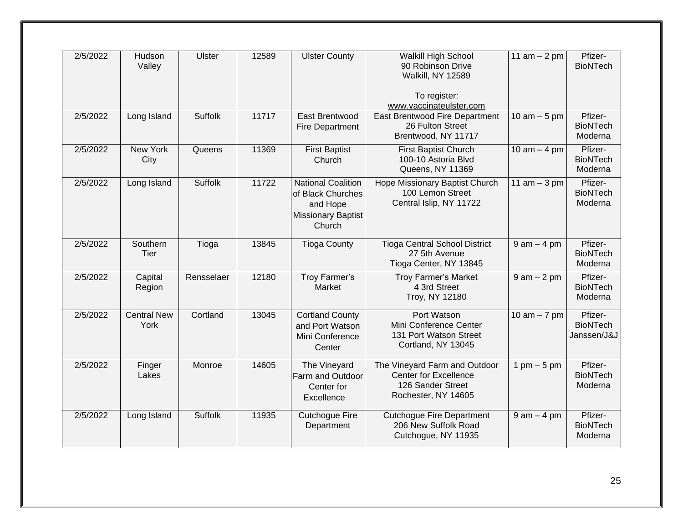| 2/5/2022 | Hudson<br>Valley           | <b>Ulster</b>  | 12589 | <b>Ulster County</b>                                                                              | <b>Walkill High School</b><br>90 Robinson Drive<br>Walkill, NY 12589<br>To register:                      | 11 $am - 2 pm$  | Pfizer-<br><b>BioNTech</b>                |
|----------|----------------------------|----------------|-------|---------------------------------------------------------------------------------------------------|-----------------------------------------------------------------------------------------------------------|-----------------|-------------------------------------------|
| 2/5/2022 | Long Island                | Suffolk        | 11717 | East Brentwood<br><b>Fire Department</b>                                                          | www.vaccinateulster.com<br>East Brentwood Fire Department<br>26 Fulton Street<br>Brentwood, NY 11717      | 10 am $-5$ pm   | Pfizer-<br><b>BioNTech</b><br>Moderna     |
| 2/5/2022 | <b>New York</b><br>City    | Queens         | 11369 | <b>First Baptist</b><br>Church                                                                    | <b>First Baptist Church</b><br>100-10 Astoria Blvd<br>Queens, NY 11369                                    | 10 am $-$ 4 pm  | Pfizer-<br><b>BioNTech</b><br>Moderna     |
| 2/5/2022 | Long Island                | Suffolk        | 11722 | <b>National Coalition</b><br>of Black Churches<br>and Hope<br><b>Missionary Baptist</b><br>Church | Hope Missionary Baptist Church<br>100 Lemon Street<br>Central Islip, NY 11722                             | 11 am $-3$ pm   | Pfizer-<br><b>BioNTech</b><br>Moderna     |
| 2/5/2022 | Southern<br><b>Tier</b>    | Tioga          | 13845 | <b>Tioga County</b>                                                                               | <b>Tioga Central School District</b><br>27 5th Avenue<br>Tioga Center, NY 13845                           | $9$ am $-$ 4 pm | Pfizer-<br><b>BioNTech</b><br>Moderna     |
| 2/5/2022 | Capital<br>Region          | Rensselaer     | 12180 | Troy Farmer's<br>Market                                                                           | <b>Troy Farmer's Market</b><br>4 3rd Street<br>Troy, NY 12180                                             | $9$ am $-2$ pm  | Pfizer-<br><b>BioNTech</b><br>Moderna     |
| 2/5/2022 | <b>Central New</b><br>York | Cortland       | 13045 | <b>Cortland County</b><br>and Port Watson<br>Mini Conference<br>Center                            | <b>Port Watson</b><br>Mini Conference Center<br>131 Port Watson Street<br>Cortland, NY 13045              | 10 am $-7$ pm   | Pfizer-<br><b>BioNTech</b><br>Janssen/J&J |
| 2/5/2022 | Finger<br>Lakes            | Monroe         | 14605 | The Vineyard<br><b>Farm and Outdoor</b><br>Center for<br>Excellence                               | The Vineyard Farm and Outdoor<br><b>Center for Excellence</b><br>126 Sander Street<br>Rochester, NY 14605 | 1 pm $-5$ pm    | Pfizer-<br><b>BioNTech</b><br>Moderna     |
| 2/5/2022 | Long Island                | <b>Suffolk</b> | 11935 | <b>Cutchogue Fire</b><br>Department                                                               | <b>Cutchogue Fire Department</b><br>206 New Suffolk Road<br>Cutchogue, NY 11935                           | $9$ am $-$ 4 pm | Pfizer-<br><b>BioNTech</b><br>Moderna     |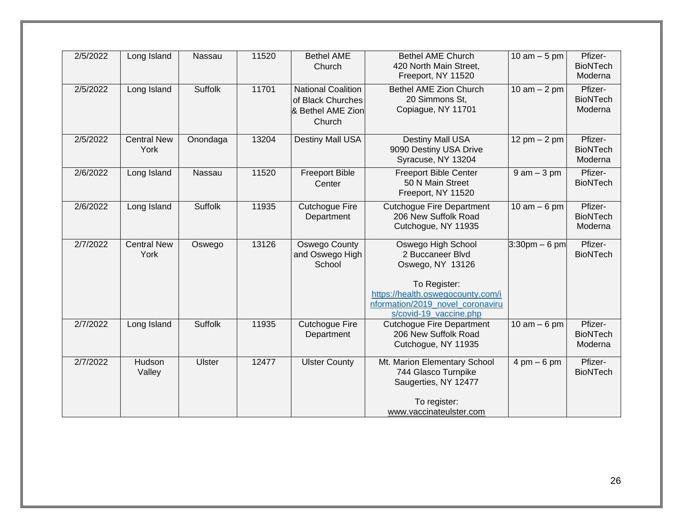| 2/5/2022 | Long Island                | Nassau         | 11520 | <b>Bethel AME</b><br>Church                                                   | <b>Bethel AME Church</b><br>420 North Main Street,<br>Freeport, NY 11520                                                                                                      | 10 $am - 5 pm$                | Pfizer-<br><b>BioNTech</b><br>Moderna |
|----------|----------------------------|----------------|-------|-------------------------------------------------------------------------------|-------------------------------------------------------------------------------------------------------------------------------------------------------------------------------|-------------------------------|---------------------------------------|
| 2/5/2022 | Long Island                | Suffolk        | 11701 | <b>National Coalition</b><br>of Black Churches<br>& Bethel AME Zion<br>Church | Bethel AME Zion Church<br>20 Simmons St,<br>Copiague, NY 11701                                                                                                                | 10 am $-$ 2 pm                | Pfizer-<br><b>BioNTech</b><br>Moderna |
| 2/5/2022 | <b>Central New</b><br>York | Onondaga       | 13204 | <b>Destiny Mall USA</b>                                                       | Destiny Mall USA<br>9090 Destiny USA Drive<br>Syracuse, NY 13204                                                                                                              | 12 pm $- 2$ pm                | Pfizer-<br><b>BioNTech</b><br>Moderna |
| 2/6/2022 | Long Island                | Nassau         | 11520 | <b>Freeport Bible</b><br>Center                                               | <b>Freeport Bible Center</b><br>50 N Main Street<br>Freeport, NY 11520                                                                                                        | $9$ am $-3$ pm                | Pfizer-<br><b>BioNTech</b>            |
| 2/6/2022 | Long Island                | <b>Suffolk</b> | 11935 | <b>Cutchogue Fire</b><br>Department                                           | <b>Cutchogue Fire Department</b><br>206 New Suffolk Road<br>Cutchogue, NY 11935                                                                                               | 10 am $-6$ pm                 | Pfizer-<br><b>BioNTech</b><br>Moderna |
| 2/7/2022 | <b>Central New</b><br>York | Oswego         | 13126 | <b>Oswego County</b><br>and Oswego High<br>School                             | Oswego High School<br>2 Buccaneer Blvd<br>Oswego, NY 13126<br>To Register:<br>https://health.oswegocounty.com/i<br>nformation/2019_novel_coronaviru<br>s/covid-19_vaccine.php | $3:30$ pm $-6$ pm             | Pfizer-<br><b>BioNTech</b>            |
| 2/7/2022 | Long Island                | <b>Suffolk</b> | 11935 | <b>Cutchogue Fire</b><br>Department                                           | <b>Cutchogue Fire Department</b><br>206 New Suffolk Road<br>Cutchogue, NY 11935                                                                                               | $10$ am $-6$ pm               | Pfizer-<br><b>BioNTech</b><br>Moderna |
| 2/7/2022 | Hudson<br>Valley           | <b>Ulster</b>  | 12477 | <b>Ulster County</b>                                                          | Mt. Marion Elementary School<br>744 Glasco Turnpike<br>Saugerties, NY 12477<br>To register:<br>www.vaccinateulster.com                                                        | $4 \text{ pm} - 6 \text{ pm}$ | Pfizer-<br><b>BioNTech</b>            |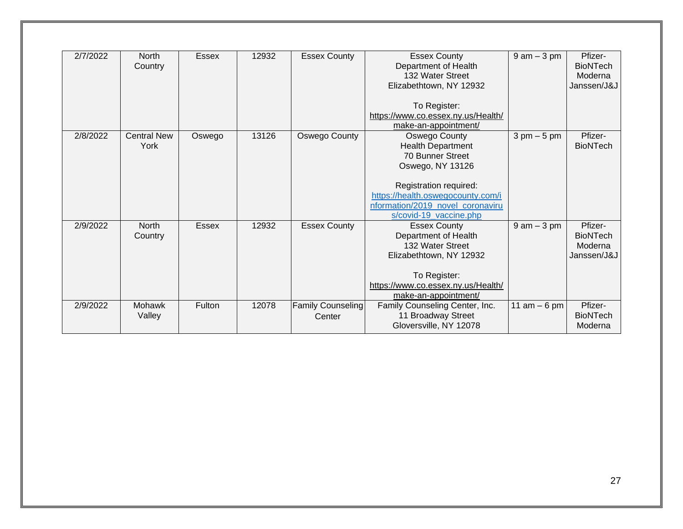| 2/7/2022 | North              | <b>Essex</b> | 12932 | <b>Essex County</b> | <b>Essex County</b>                                         | $9$ am $-3$ pm                | Pfizer-         |
|----------|--------------------|--------------|-------|---------------------|-------------------------------------------------------------|-------------------------------|-----------------|
|          | Country            |              |       |                     | Department of Health                                        |                               | <b>BioNTech</b> |
|          |                    |              |       |                     | 132 Water Street                                            |                               | Moderna         |
|          |                    |              |       |                     | Elizabethtown, NY 12932                                     |                               | Janssen/J&J     |
|          |                    |              |       |                     |                                                             |                               |                 |
|          |                    |              |       |                     | To Register:                                                |                               |                 |
|          |                    |              |       |                     | https://www.co.essex.ny.us/Health/                          |                               |                 |
|          |                    |              |       |                     | make-an-appointment/                                        |                               |                 |
| 2/8/2022 | <b>Central New</b> | Oswego       | 13126 | Oswego County       | Oswego County                                               | $3 \text{ pm} - 5 \text{ pm}$ | Pfizer-         |
|          | York               |              |       |                     | <b>Health Department</b>                                    |                               | <b>BioNTech</b> |
|          |                    |              |       |                     | 70 Bunner Street                                            |                               |                 |
|          |                    |              |       |                     | Oswego, NY 13126                                            |                               |                 |
|          |                    |              |       |                     |                                                             |                               |                 |
|          |                    |              |       |                     | Registration required:<br>https://health.oswegocounty.com/i |                               |                 |
|          |                    |              |       |                     | nformation/2019 novel coronaviru                            |                               |                 |
|          |                    |              |       |                     | s/covid-19_vaccine.php                                      |                               |                 |
| 2/9/2022 | <b>North</b>       | <b>Essex</b> | 12932 | <b>Essex County</b> | <b>Essex County</b>                                         | $9$ am $-3$ pm                | Pfizer-         |
|          | Country            |              |       |                     | Department of Health                                        |                               | <b>BioNTech</b> |
|          |                    |              |       |                     | 132 Water Street                                            |                               | Moderna         |
|          |                    |              |       |                     | Elizabethtown, NY 12932                                     |                               | Janssen/J&J     |
|          |                    |              |       |                     |                                                             |                               |                 |
|          |                    |              |       |                     | To Register:                                                |                               |                 |
|          |                    |              |       |                     | https://www.co.essex.ny.us/Health/                          |                               |                 |
|          |                    |              |       |                     | make-an-appointment/                                        |                               |                 |
| 2/9/2022 | <b>Mohawk</b>      | Fulton       | 12078 | Family Counseling   | Family Counseling Center, Inc.                              | 11 am $-6$ pm                 | Pfizer-         |
|          | Valley             |              |       | Center              | 11 Broadway Street                                          |                               | <b>BioNTech</b> |
|          |                    |              |       |                     | Gloversville, NY 12078                                      |                               | Moderna         |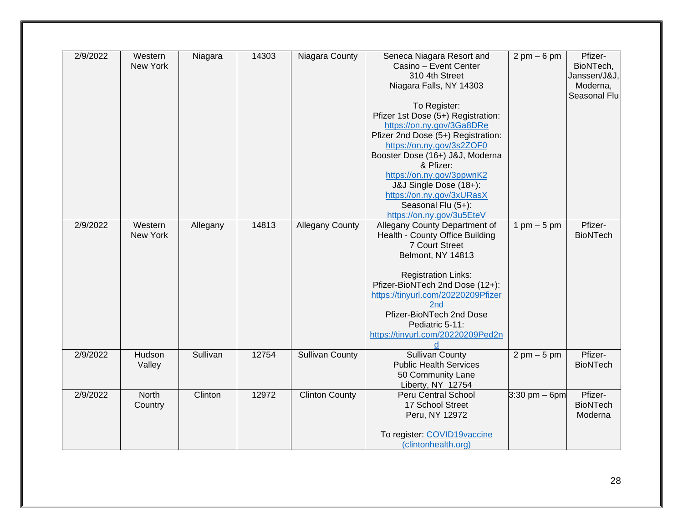| 2/9/2022 | Western  | Niagara  | 14303 | Niagara County         | Seneca Niagara Resort and          | $2 \text{ pm} - 6 \text{ pm}$   | Pfizer-         |
|----------|----------|----------|-------|------------------------|------------------------------------|---------------------------------|-----------------|
|          | New York |          |       |                        | Casino - Event Center              |                                 | BioNTech,       |
|          |          |          |       |                        | 310 4th Street                     |                                 | Janssen/J&J,    |
|          |          |          |       |                        | Niagara Falls, NY 14303            |                                 | Moderna,        |
|          |          |          |       |                        |                                    |                                 | Seasonal Flu    |
|          |          |          |       |                        | To Register:                       |                                 |                 |
|          |          |          |       |                        | Pfizer 1st Dose (5+) Registration: |                                 |                 |
|          |          |          |       |                        | https://on.ny.gov/3Ga8DRe          |                                 |                 |
|          |          |          |       |                        | Pfizer 2nd Dose (5+) Registration: |                                 |                 |
|          |          |          |       |                        | https://on.ny.gov/3s2ZOF0          |                                 |                 |
|          |          |          |       |                        | Booster Dose (16+) J&J, Moderna    |                                 |                 |
|          |          |          |       |                        | & Pfizer:                          |                                 |                 |
|          |          |          |       |                        | https://on.ny.gov/3ppwnK2          |                                 |                 |
|          |          |          |       |                        | J&J Single Dose (18+):             |                                 |                 |
|          |          |          |       |                        | https://on.ny.gov/3xURasX          |                                 |                 |
|          |          |          |       |                        | Seasonal Flu (5+):                 |                                 |                 |
|          |          |          |       |                        | https://on.ny.gov/3u5EteV          |                                 |                 |
| 2/9/2022 | Western  | Allegany | 14813 | <b>Allegany County</b> | Allegany County Department of      | 1 pm $-5$ pm                    | Pfizer-         |
|          | New York |          |       |                        | Health - County Office Building    |                                 | <b>BioNTech</b> |
|          |          |          |       |                        | 7 Court Street                     |                                 |                 |
|          |          |          |       |                        | Belmont, NY 14813                  |                                 |                 |
|          |          |          |       |                        |                                    |                                 |                 |
|          |          |          |       |                        | <b>Registration Links:</b>         |                                 |                 |
|          |          |          |       |                        | Pfizer-BioNTech 2nd Dose (12+):    |                                 |                 |
|          |          |          |       |                        | https://tinyurl.com/20220209Pfizer |                                 |                 |
|          |          |          |       |                        | 2nd                                |                                 |                 |
|          |          |          |       |                        | Pfizer-BioNTech 2nd Dose           |                                 |                 |
|          |          |          |       |                        | Pediatric 5-11:                    |                                 |                 |
|          |          |          |       |                        | https://tinyurl.com/20220209Ped2n  |                                 |                 |
|          |          |          |       |                        | d                                  |                                 |                 |
| 2/9/2022 | Hudson   | Sullivan | 12754 | <b>Sullivan County</b> | <b>Sullivan County</b>             | $2 \text{ pm} - 5 \text{ pm}$   | Pfizer-         |
|          | Valley   |          |       |                        | <b>Public Health Services</b>      |                                 | <b>BioNTech</b> |
|          |          |          |       |                        | 50 Community Lane                  |                                 |                 |
|          |          |          |       |                        | Liberty, NY 12754                  |                                 |                 |
| 2/9/2022 | North    | Clinton  | 12972 | <b>Clinton County</b>  | Peru Central School                | $3:30 \text{ pm} - 6 \text{pm}$ | Pfizer-         |
|          | Country  |          |       |                        | 17 School Street                   |                                 | <b>BioNTech</b> |
|          |          |          |       |                        | Peru, NY 12972                     |                                 | Moderna         |
|          |          |          |       |                        |                                    |                                 |                 |
|          |          |          |       |                        | To register: COVID19vaccine        |                                 |                 |
|          |          |          |       |                        | (clintonhealth.org)                |                                 |                 |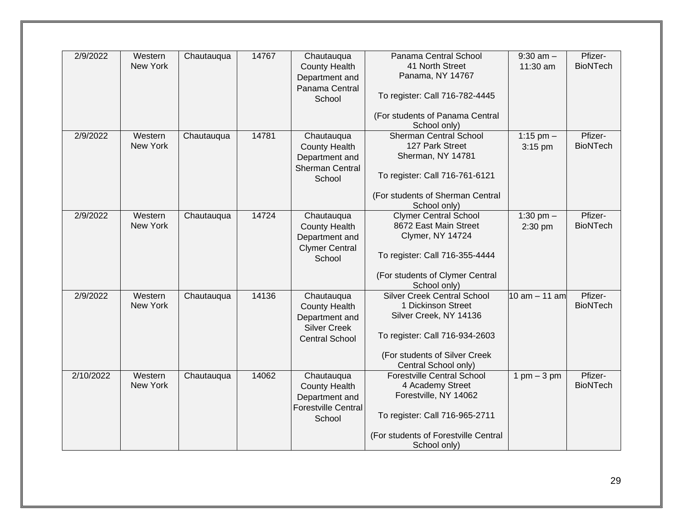| 2/9/2022  | Western  | Chautauqua | 14767 | Chautauqua                 | Panama Central School                           | $9:30$ am $-$                 | Pfizer-         |
|-----------|----------|------------|-------|----------------------------|-------------------------------------------------|-------------------------------|-----------------|
|           | New York |            |       | <b>County Health</b>       | 41 North Street                                 | 11:30 am                      | <b>BioNTech</b> |
|           |          |            |       |                            | Panama, NY 14767                                |                               |                 |
|           |          |            |       | Department and             |                                                 |                               |                 |
|           |          |            |       | Panama Central<br>School   | To register: Call 716-782-4445                  |                               |                 |
|           |          |            |       |                            | (For students of Panama Central<br>School only) |                               |                 |
| 2/9/2022  | Western  | Chautauqua | 14781 | Chautauqua                 | <b>Sherman Central School</b>                   | 1:15 pm $-$                   | Pfizer-         |
|           | New York |            |       | <b>County Health</b>       | 127 Park Street                                 | 3:15 pm                       | <b>BioNTech</b> |
|           |          |            |       | Department and             | Sherman, NY 14781                               |                               |                 |
|           |          |            |       | <b>Sherman Central</b>     |                                                 |                               |                 |
|           |          |            |       | School                     | To register: Call 716-761-6121                  |                               |                 |
|           |          |            |       |                            | (For students of Sherman Central                |                               |                 |
|           |          |            |       |                            | School only)                                    |                               |                 |
| 2/9/2022  | Western  | Chautauqua | 14724 | Chautauqua                 | <b>Clymer Central School</b>                    | 1:30 pm $-$                   | Pfizer-         |
|           | New York |            |       | <b>County Health</b>       | 8672 East Main Street                           | 2:30 pm                       | <b>BioNTech</b> |
|           |          |            |       | Department and             | Clymer, NY 14724                                |                               |                 |
|           |          |            |       | <b>Clymer Central</b>      |                                                 |                               |                 |
|           |          |            |       | School                     | To register: Call 716-355-4444                  |                               |                 |
|           |          |            |       |                            |                                                 |                               |                 |
|           |          |            |       |                            | (For students of Clymer Central                 |                               |                 |
|           |          |            |       |                            | School only)                                    |                               |                 |
| 2/9/2022  | Western  | Chautauqua | 14136 | Chautauqua                 | <b>Silver Creek Central School</b>              | 10 am - 11 am                 | Pfizer-         |
|           | New York |            |       | <b>County Health</b>       | 1 Dickinson Street                              |                               | <b>BioNTech</b> |
|           |          |            |       | Department and             | Silver Creek, NY 14136                          |                               |                 |
|           |          |            |       | <b>Silver Creek</b>        |                                                 |                               |                 |
|           |          |            |       | <b>Central School</b>      | To register: Call 716-934-2603                  |                               |                 |
|           |          |            |       |                            |                                                 |                               |                 |
|           |          |            |       |                            | (For students of Silver Creek                   |                               |                 |
|           |          |            |       |                            | Central School only)                            |                               |                 |
| 2/10/2022 | Western  | Chautauqua | 14062 | Chautauqua                 | <b>Forestville Central School</b>               | $1 \text{ pm} - 3 \text{ pm}$ | Pfizer-         |
|           | New York |            |       | <b>County Health</b>       | 4 Academy Street                                |                               | <b>BioNTech</b> |
|           |          |            |       | Department and             | Forestville, NY 14062                           |                               |                 |
|           |          |            |       | <b>Forestville Central</b> |                                                 |                               |                 |
|           |          |            |       | School                     | To register: Call 716-965-2711                  |                               |                 |
|           |          |            |       |                            |                                                 |                               |                 |
|           |          |            |       |                            | (For students of Forestville Central            |                               |                 |
|           |          |            |       |                            | School only)                                    |                               |                 |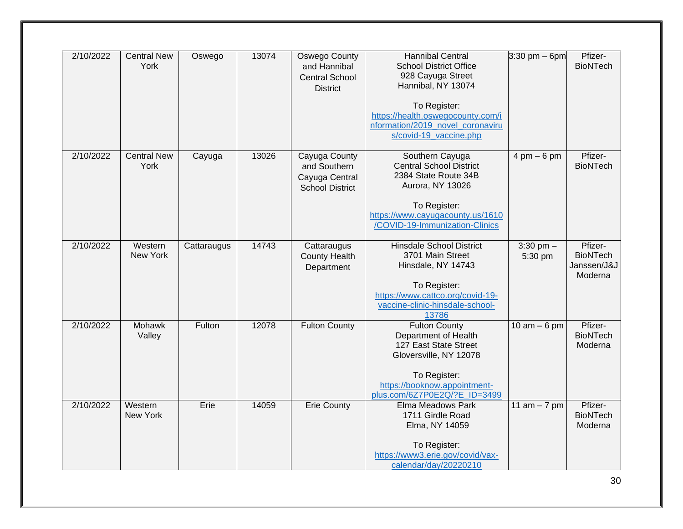| 2/10/2022<br><b>Central New</b><br>13074<br><b>Oswego County</b><br><b>Hannibal Central</b><br>Oswego<br>York<br><b>School District Office</b><br>and Hannibal<br>928 Cayuga Street<br><b>Central School</b><br>Hannibal, NY 13074<br><b>District</b><br>To Register:<br>https://health.oswegocounty.com/i | $3:30$ pm $-$ 6pm             | Pfizer-<br><b>BioNTech</b> |
|------------------------------------------------------------------------------------------------------------------------------------------------------------------------------------------------------------------------------------------------------------------------------------------------------------|-------------------------------|----------------------------|
|                                                                                                                                                                                                                                                                                                            |                               |                            |
|                                                                                                                                                                                                                                                                                                            |                               |                            |
|                                                                                                                                                                                                                                                                                                            |                               |                            |
|                                                                                                                                                                                                                                                                                                            |                               |                            |
|                                                                                                                                                                                                                                                                                                            |                               |                            |
|                                                                                                                                                                                                                                                                                                            |                               |                            |
| nformation/2019 novel coronaviru                                                                                                                                                                                                                                                                           |                               |                            |
| s/covid-19 vaccine.php                                                                                                                                                                                                                                                                                     |                               |                            |
| 2/10/2022<br><b>Central New</b><br>13026<br>Cayuga County<br>Southern Cayuga<br>Cayuga                                                                                                                                                                                                                     | $4 \text{ pm} - 6 \text{ pm}$ | Pfizer-                    |
| York<br><b>Central School District</b><br>and Southern                                                                                                                                                                                                                                                     |                               | <b>BioNTech</b>            |
| 2384 State Route 34B<br>Cayuga Central                                                                                                                                                                                                                                                                     |                               |                            |
| Aurora, NY 13026<br><b>School District</b>                                                                                                                                                                                                                                                                 |                               |                            |
|                                                                                                                                                                                                                                                                                                            |                               |                            |
| To Register:                                                                                                                                                                                                                                                                                               |                               |                            |
| https://www.cayugacounty.us/1610                                                                                                                                                                                                                                                                           |                               |                            |
| /COVID-19-Immunization-Clinics                                                                                                                                                                                                                                                                             |                               |                            |
|                                                                                                                                                                                                                                                                                                            |                               |                            |
| 14743<br><b>Hinsdale School District</b><br>2/10/2022<br>Western<br>Cattaraugus<br>Cattaraugus<br>New York<br>3701 Main Street                                                                                                                                                                             | $3:30$ pm $-$                 | Pfizer-<br><b>BioNTech</b> |
| <b>County Health</b><br>Hinsdale, NY 14743<br>Department                                                                                                                                                                                                                                                   | 5:30 pm                       | Janssen/J&J                |
|                                                                                                                                                                                                                                                                                                            |                               | Moderna                    |
| To Register:                                                                                                                                                                                                                                                                                               |                               |                            |
| https://www.cattco.org/covid-19-                                                                                                                                                                                                                                                                           |                               |                            |
| vaccine-clinic-hinsdale-school-                                                                                                                                                                                                                                                                            |                               |                            |
| 13786                                                                                                                                                                                                                                                                                                      |                               |                            |
| 2/10/2022<br>12078<br>Mohawk<br>Fulton<br><b>Fulton County</b><br><b>Fulton County</b>                                                                                                                                                                                                                     | $10$ am $-6$ pm               | Pfizer-                    |
| Department of Health<br>Valley                                                                                                                                                                                                                                                                             |                               | <b>BioNTech</b>            |
| 127 East State Street                                                                                                                                                                                                                                                                                      |                               | Moderna                    |
| Gloversville, NY 12078                                                                                                                                                                                                                                                                                     |                               |                            |
| To Register:                                                                                                                                                                                                                                                                                               |                               |                            |
| https://booknow.appointment-                                                                                                                                                                                                                                                                               |                               |                            |
| plus.com/6Z7P0E2Q/?E_ID=3499                                                                                                                                                                                                                                                                               |                               |                            |
| Erie<br>14059<br>2/10/2022<br>Western<br><b>Erie County</b><br>Elma Meadows Park                                                                                                                                                                                                                           | 11 $am - 7 pm$                | Pfizer-                    |
| New York<br>1711 Girdle Road                                                                                                                                                                                                                                                                               |                               | <b>BioNTech</b>            |
|                                                                                                                                                                                                                                                                                                            |                               | Moderna                    |
| Elma, NY 14059                                                                                                                                                                                                                                                                                             |                               |                            |
|                                                                                                                                                                                                                                                                                                            |                               |                            |
| To Register:<br>https://www3.erie.gov/covid/vax-                                                                                                                                                                                                                                                           |                               |                            |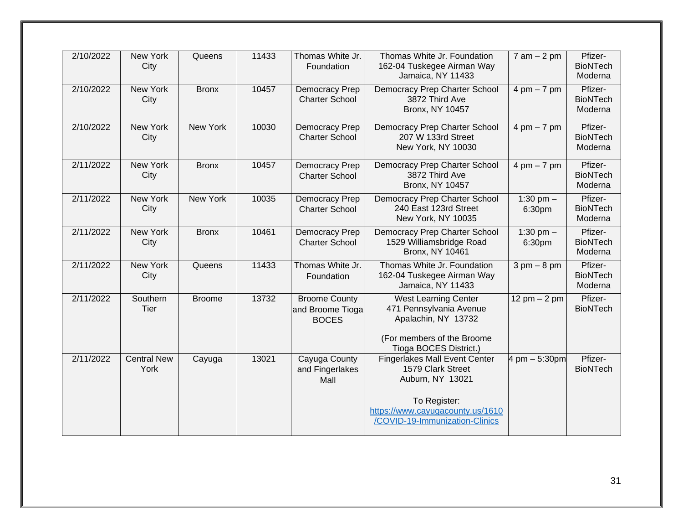| 2/10/2022 | <b>New York</b><br>City    | Queens        | 11433 | Thomas White Jr.<br>Foundation                           | Thomas White Jr. Foundation<br>162-04 Tuskegee Airman Way<br>Jamaica, NY 11433                                                                                      | $7$ am $-2$ pm                | Pfizer-<br><b>BioNTech</b><br>Moderna |
|-----------|----------------------------|---------------|-------|----------------------------------------------------------|---------------------------------------------------------------------------------------------------------------------------------------------------------------------|-------------------------------|---------------------------------------|
| 2/10/2022 | New York<br>City           | <b>Bronx</b>  | 10457 | Democracy Prep<br><b>Charter School</b>                  | Democracy Prep Charter School<br>3872 Third Ave<br><b>Bronx, NY 10457</b>                                                                                           | $4 \text{ pm} - 7 \text{ pm}$ | Pfizer-<br><b>BioNTech</b><br>Moderna |
| 2/10/2022 | <b>New York</b><br>City    | New York      | 10030 | Democracy Prep<br><b>Charter School</b>                  | <b>Democracy Prep Charter School</b><br>207 W 133rd Street<br>New York, NY 10030                                                                                    | $4 \text{ pm} - 7 \text{ pm}$ | Pfizer-<br><b>BioNTech</b><br>Moderna |
| 2/11/2022 | New York<br>City           | <b>Bronx</b>  | 10457 | Democracy Prep<br><b>Charter School</b>                  | Democracy Prep Charter School<br>3872 Third Ave<br><b>Bronx, NY 10457</b>                                                                                           | $4 \text{ pm} - 7 \text{ pm}$ | Pfizer-<br><b>BioNTech</b><br>Moderna |
| 2/11/2022 | New York<br>City           | New York      | 10035 | Democracy Prep<br><b>Charter School</b>                  | Democracy Prep Charter School<br>240 East 123rd Street<br>New York, NY 10035                                                                                        | 1:30 pm $-$<br>6:30pm         | Pfizer-<br><b>BioNTech</b><br>Moderna |
| 2/11/2022 | New York<br>City           | <b>Bronx</b>  | 10461 | Democracy Prep<br><b>Charter School</b>                  | Democracy Prep Charter School<br>1529 Williamsbridge Road<br><b>Bronx, NY 10461</b>                                                                                 | 1:30 pm $-$<br>6:30pm         | Pfizer-<br><b>BioNTech</b><br>Moderna |
| 2/11/2022 | New York<br>City           | Queens        | 11433 | Thomas White Jr.<br>Foundation                           | Thomas White Jr. Foundation<br>162-04 Tuskegee Airman Way<br>Jamaica, NY 11433                                                                                      | $3 \text{ pm} - 8 \text{ pm}$ | Pfizer-<br><b>BioNTech</b><br>Moderna |
| 2/11/2022 | Southern<br>Tier           | <b>Broome</b> | 13732 | <b>Broome County</b><br>and Broome Tioga<br><b>BOCES</b> | <b>West Learning Center</b><br>471 Pennsylvania Avenue<br>Apalachin, NY 13732<br>(For members of the Broome<br>Tioga BOCES District.)                               | 12 pm $- 2$ pm                | Pfizer-<br><b>BioNTech</b>            |
| 2/11/2022 | <b>Central New</b><br>York | Cayuga        | 13021 | Cayuga County<br>and Fingerlakes<br>Mall                 | <b>Fingerlakes Mall Event Center</b><br>1579 Clark Street<br>Auburn, NY 13021<br>To Register:<br>https://www.cayugacounty.us/1610<br>/COVID-19-Immunization-Clinics | 4 pm $-5:30$ pm               | Pfizer-<br><b>BioNTech</b>            |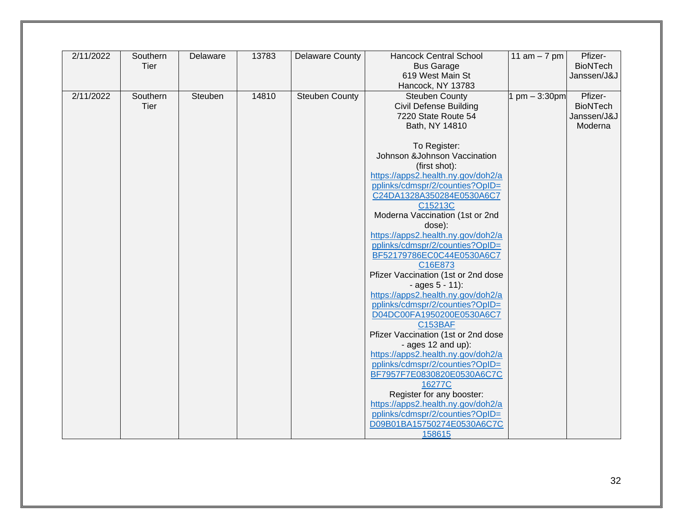| 2/11/2022 | Southern<br>Tier | Delaware | 13783 | <b>Delaware County</b> | <b>Hancock Central School</b><br><b>Bus Garage</b>                    | 11 $am - 7 pm$ | Pfizer-<br><b>BioNTech</b> |
|-----------|------------------|----------|-------|------------------------|-----------------------------------------------------------------------|----------------|----------------------------|
|           |                  |          |       |                        | 619 West Main St                                                      |                | Janssen/J&J                |
|           |                  |          |       |                        | Hancock, NY 13783                                                     |                |                            |
| 2/11/2022 | Southern         | Steuben  | 14810 | <b>Steuben County</b>  | <b>Steuben County</b>                                                 | $pm - 3:30pm$  | Pfizer-                    |
|           | Tier             |          |       |                        | <b>Civil Defense Building</b>                                         |                | <b>BioNTech</b>            |
|           |                  |          |       |                        | 7220 State Route 54                                                   |                | Janssen/J&J                |
|           |                  |          |       |                        | Bath, NY 14810                                                        |                | Moderna                    |
|           |                  |          |       |                        | To Register:                                                          |                |                            |
|           |                  |          |       |                        | Johnson &Johnson Vaccination                                          |                |                            |
|           |                  |          |       |                        | (first shot):                                                         |                |                            |
|           |                  |          |       |                        | https://apps2.health.ny.gov/doh2/a                                    |                |                            |
|           |                  |          |       |                        | pplinks/cdmspr/2/counties?OpID=                                       |                |                            |
|           |                  |          |       |                        | C24DA1328A350284E0530A6C7                                             |                |                            |
|           |                  |          |       |                        | C15213C                                                               |                |                            |
|           |                  |          |       |                        | Moderna Vaccination (1st or 2nd                                       |                |                            |
|           |                  |          |       |                        | dose):                                                                |                |                            |
|           |                  |          |       |                        | https://apps2.health.ny.gov/doh2/a                                    |                |                            |
|           |                  |          |       |                        | pplinks/cdmspr/2/counties?OpID=<br>BF52179786EC0C44E0530A6C7          |                |                            |
|           |                  |          |       |                        | C16E873                                                               |                |                            |
|           |                  |          |       |                        | Pfizer Vaccination (1st or 2nd dose                                   |                |                            |
|           |                  |          |       |                        | $-$ ages $5 - 11$ :                                                   |                |                            |
|           |                  |          |       |                        | https://apps2.health.ny.gov/doh2/a                                    |                |                            |
|           |                  |          |       |                        | pplinks/cdmspr/2/counties?OpID=                                       |                |                            |
|           |                  |          |       |                        | D04DC00FA1950200E0530A6C7                                             |                |                            |
|           |                  |          |       |                        | <b>C153BAF</b>                                                        |                |                            |
|           |                  |          |       |                        | Pfizer Vaccination (1st or 2nd dose                                   |                |                            |
|           |                  |          |       |                        | - ages 12 and up):                                                    |                |                            |
|           |                  |          |       |                        | https://apps2.health.ny.gov/doh2/a<br>pplinks/cdmspr/2/counties?OpID= |                |                            |
|           |                  |          |       |                        | BF7957F7E0830820E0530A6C7C                                            |                |                            |
|           |                  |          |       |                        | 16277C                                                                |                |                            |
|           |                  |          |       |                        | Register for any booster:                                             |                |                            |
|           |                  |          |       |                        | https://apps2.health.ny.gov/doh2/a                                    |                |                            |
|           |                  |          |       |                        | pplinks/cdmspr/2/counties?OpID=                                       |                |                            |
|           |                  |          |       |                        | D09B01BA15750274E0530A6C7C                                            |                |                            |
|           |                  |          |       |                        | 158615                                                                |                |                            |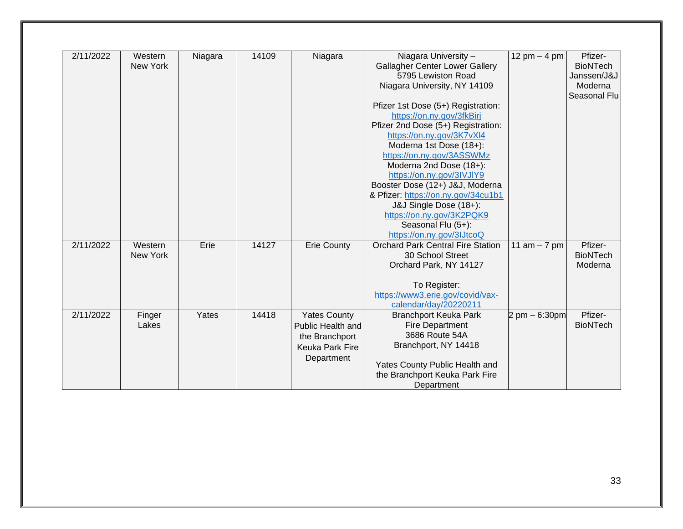| 2/11/2022 | Western         | Niagara | 14109 | Niagara             | Niagara University -                     | 12 pm $-$ 4 pm                   | Pfizer-         |
|-----------|-----------------|---------|-------|---------------------|------------------------------------------|----------------------------------|-----------------|
|           | <b>New York</b> |         |       |                     | <b>Gallagher Center Lower Gallery</b>    |                                  | <b>BioNTech</b> |
|           |                 |         |       |                     | 5795 Lewiston Road                       |                                  | Janssen/J&J     |
|           |                 |         |       |                     | Niagara University, NY 14109             |                                  | Moderna         |
|           |                 |         |       |                     |                                          |                                  | Seasonal Flu    |
|           |                 |         |       |                     | Pfizer 1st Dose (5+) Registration:       |                                  |                 |
|           |                 |         |       |                     | https://on.ny.gov/3fkBirj                |                                  |                 |
|           |                 |         |       |                     | Pfizer 2nd Dose (5+) Registration:       |                                  |                 |
|           |                 |         |       |                     | https://on.ny.gov/3K7vXl4                |                                  |                 |
|           |                 |         |       |                     | Moderna 1st Dose (18+):                  |                                  |                 |
|           |                 |         |       |                     | https://on.ny.gov/3ASSWMz                |                                  |                 |
|           |                 |         |       |                     | Moderna 2nd Dose (18+):                  |                                  |                 |
|           |                 |         |       |                     | https://on.ny.gov/3IVJIY9                |                                  |                 |
|           |                 |         |       |                     | Booster Dose (12+) J&J, Moderna          |                                  |                 |
|           |                 |         |       |                     | & Pfizer: https://on.ny.gov/34cu1b1      |                                  |                 |
|           |                 |         |       |                     | J&J Single Dose (18+):                   |                                  |                 |
|           |                 |         |       |                     | https://on.ny.gov/3K2PQK9                |                                  |                 |
|           |                 |         |       |                     | Seasonal Flu (5+):                       |                                  |                 |
|           |                 |         |       |                     | https://on.ny.gov/3lJtcoQ                |                                  |                 |
| 2/11/2022 | Western         | Erie    | 14127 | <b>Erie County</b>  | <b>Orchard Park Central Fire Station</b> | 11 $am - 7 pm$                   | Pfizer-         |
|           | <b>New York</b> |         |       |                     | 30 School Street                         |                                  | <b>BioNTech</b> |
|           |                 |         |       |                     |                                          |                                  |                 |
|           |                 |         |       |                     | Orchard Park, NY 14127                   |                                  | Moderna         |
|           |                 |         |       |                     |                                          |                                  |                 |
|           |                 |         |       |                     | To Register:                             |                                  |                 |
|           |                 |         |       |                     | https://www3.erie.gov/covid/vax-         |                                  |                 |
|           |                 |         |       |                     | calendar/day/20220211                    |                                  |                 |
| 2/11/2022 | Finger          | Yates   | 14418 | <b>Yates County</b> | <b>Branchport Keuka Park</b>             | $2 \text{ pm} - 6:30 \text{ pm}$ | Pfizer-         |
|           | Lakes           |         |       | Public Health and   | <b>Fire Department</b>                   |                                  | <b>BioNTech</b> |
|           |                 |         |       | the Branchport      | 3686 Route 54A                           |                                  |                 |
|           |                 |         |       | Keuka Park Fire     | Branchport, NY 14418                     |                                  |                 |
|           |                 |         |       | Department          |                                          |                                  |                 |
|           |                 |         |       |                     | Yates County Public Health and           |                                  |                 |
|           |                 |         |       |                     | the Branchport Keuka Park Fire           |                                  |                 |
|           |                 |         |       |                     | Department                               |                                  |                 |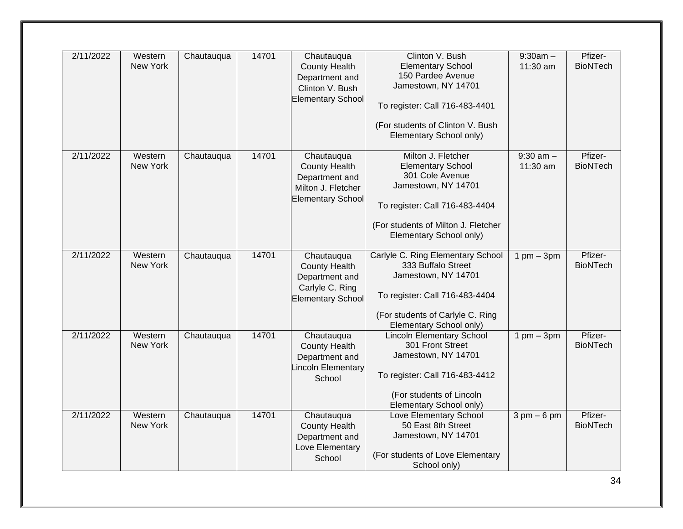| 2/11/2022 | Western<br>New York | Chautauqua | 14701 | Chautauqua<br><b>County Health</b><br>Department and<br>Clinton V. Bush<br><b>Elementary School</b>    | Clinton V. Bush<br><b>Elementary School</b><br>150 Pardee Avenue<br>Jamestown, NY 14701<br>To register: Call 716-483-4401<br>(For students of Clinton V. Bush<br>Elementary School only)     | $9:30am -$<br>11:30 am        | Pfizer-<br><b>BioNTech</b> |
|-----------|---------------------|------------|-------|--------------------------------------------------------------------------------------------------------|----------------------------------------------------------------------------------------------------------------------------------------------------------------------------------------------|-------------------------------|----------------------------|
| 2/11/2022 | Western<br>New York | Chautauqua | 14701 | Chautauqua<br><b>County Health</b><br>Department and<br>Milton J. Fletcher<br><b>Elementary School</b> | Milton J. Fletcher<br><b>Elementary School</b><br>301 Cole Avenue<br>Jamestown, NY 14701<br>To register: Call 716-483-4404<br>(For students of Milton J. Fletcher<br>Elementary School only) | $9:30$ am $-$<br>11:30 am     | Pfizer-<br><b>BioNTech</b> |
| 2/11/2022 | Western<br>New York | Chautauqua | 14701 | Chautauqua<br><b>County Health</b><br>Department and<br>Carlyle C. Ring<br><b>Elementary School</b>    | Carlyle C. Ring Elementary School<br>333 Buffalo Street<br>Jamestown, NY 14701<br>To register: Call 716-483-4404<br>(For students of Carlyle C. Ring<br>Elementary School only)              | $1$ pm $-$ 3pm                | Pfizer-<br><b>BioNTech</b> |
| 2/11/2022 | Western<br>New York | Chautauqua | 14701 | Chautauqua<br><b>County Health</b><br>Department and<br><b>Lincoln Elementary</b><br>School            | <b>Lincoln Elementary School</b><br>301 Front Street<br>Jamestown, NY 14701<br>To register: Call 716-483-4412<br>(For students of Lincoln<br>Elementary School only)                         | $1$ pm $-$ 3pm                | Pfizer-<br><b>BioNTech</b> |
| 2/11/2022 | Western<br>New York | Chautauqua | 14701 | Chautauqua<br><b>County Health</b><br>Department and<br>Love Elementary<br>School                      | Love Elementary School<br>50 East 8th Street<br>Jamestown, NY 14701<br>(For students of Love Elementary<br>School only)                                                                      | $3 \text{ pm} - 6 \text{ pm}$ | Pfizer-<br><b>BioNTech</b> |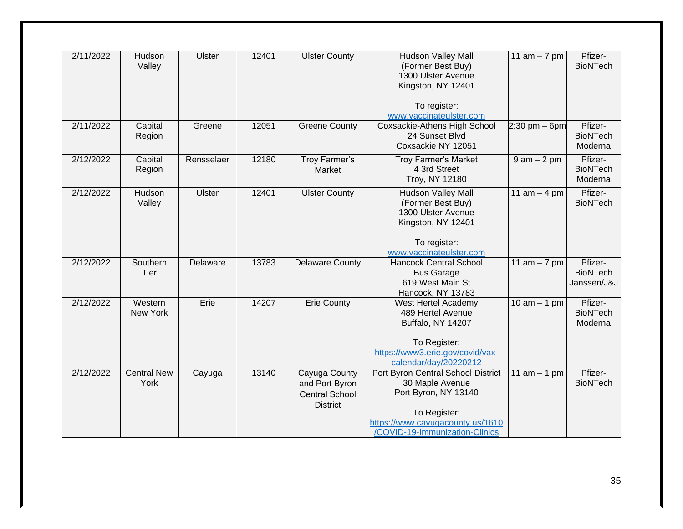| 2/11/2022 | Hudson<br>Valley           | <b>Ulster</b> | 12401 | <b>Ulster County</b>                                                        | Hudson Valley Mall<br>(Former Best Buy)<br>1300 Ulster Avenue<br>Kingston, NY 12401<br>To register:                                                                 | 11 $am - 7 pm$    | Pfizer-<br><b>BioNTech</b>                |
|-----------|----------------------------|---------------|-------|-----------------------------------------------------------------------------|---------------------------------------------------------------------------------------------------------------------------------------------------------------------|-------------------|-------------------------------------------|
|           |                            |               |       |                                                                             | www.vaccinateulster.com                                                                                                                                             |                   |                                           |
| 2/11/2022 | Capital<br>Region          | Greene        | 12051 | <b>Greene County</b>                                                        | Coxsackie-Athens High School<br>24 Sunset Blvd<br>Coxsackie NY 12051                                                                                                | $2:30$ pm $-$ 6pm | Pfizer-<br><b>BioNTech</b><br>Moderna     |
| 2/12/2022 | Capital<br>Region          | Rensselaer    | 12180 | Troy Farmer's<br>Market                                                     | Troy Farmer's Market<br>4 3rd Street<br>Troy, NY 12180                                                                                                              | $9$ am $-2$ pm    | Pfizer-<br><b>BioNTech</b><br>Moderna     |
| 2/12/2022 | Hudson<br>Valley           | <b>Ulster</b> | 12401 | <b>Ulster County</b>                                                        | <b>Hudson Valley Mall</b><br>(Former Best Buy)<br>1300 Ulster Avenue<br>Kingston, NY 12401<br>To register:<br>www.vaccinateulster.com                               | 11 $am - 4 pm$    | Pfizer-<br><b>BioNTech</b>                |
| 2/12/2022 | Southern<br>Tier           | Delaware      | 13783 | <b>Delaware County</b>                                                      | <b>Hancock Central School</b><br><b>Bus Garage</b><br>619 West Main St<br>Hancock, NY 13783                                                                         | 11 $am - 7 pm$    | Pfizer-<br><b>BioNTech</b><br>Janssen/J&J |
| 2/12/2022 | Western<br>New York        | Erie          | 14207 | <b>Erie County</b>                                                          | West Hertel Academy<br>489 Hertel Avenue<br>Buffalo, NY 14207<br>To Register:<br>https://www3.erie.gov/covid/vax-<br>calendar/day/20220212                          | 10 $am - 1 pm$    | Pfizer-<br><b>BioNTech</b><br>Moderna     |
| 2/12/2022 | <b>Central New</b><br>York | Cayuga        | 13140 | Cayuga County<br>and Port Byron<br><b>Central School</b><br><b>District</b> | Port Byron Central School District<br>30 Maple Avenue<br>Port Byron, NY 13140<br>To Register:<br>https://www.cayugacounty.us/1610<br>/COVID-19-Immunization-Clinics | 11 $am - 1 pm$    | Pfizer-<br><b>BioNTech</b>                |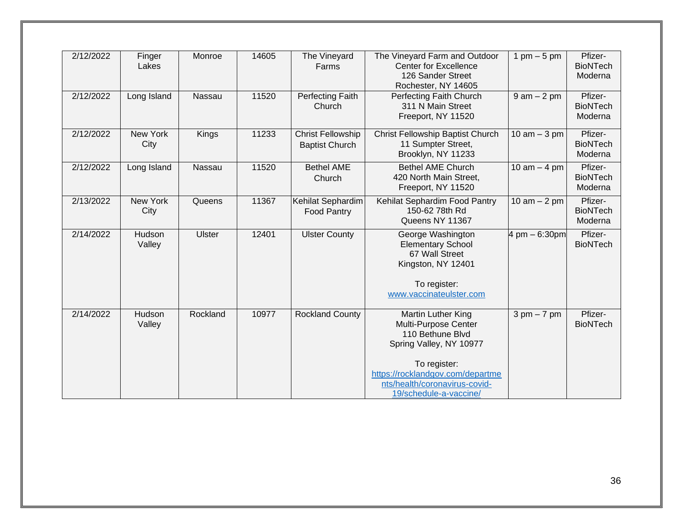| 2/12/2022 | Finger<br>Lakes  | Monroe        | 14605 | The Vineyard<br>Farms                             | The Vineyard Farm and Outdoor<br><b>Center for Excellence</b><br>126 Sander Street<br>Rochester, NY 14605                                                                                                | 1 pm $-5$ pm                  | Pfizer-<br><b>BioNTech</b><br>Moderna |
|-----------|------------------|---------------|-------|---------------------------------------------------|----------------------------------------------------------------------------------------------------------------------------------------------------------------------------------------------------------|-------------------------------|---------------------------------------|
| 2/12/2022 | Long Island      | Nassau        | 11520 | Perfecting Faith<br>Church                        | Perfecting Faith Church<br>311 N Main Street<br>Freeport, NY 11520                                                                                                                                       | $9$ am $-2$ pm                | Pfizer-<br><b>BioNTech</b><br>Moderna |
| 2/12/2022 | New York<br>City | Kings         | 11233 | <b>Christ Fellowship</b><br><b>Baptist Church</b> | Christ Fellowship Baptist Church<br>11 Sumpter Street,<br>Brooklyn, NY 11233                                                                                                                             | $10$ am $-3$ pm               | Pfizer-<br><b>BioNTech</b><br>Moderna |
| 2/12/2022 | Long Island      | Nassau        | 11520 | <b>Bethel AME</b><br>Church                       | <b>Bethel AME Church</b><br>420 North Main Street,<br>Freeport, NY 11520                                                                                                                                 | 10 am $-$ 4 pm                | Pfizer-<br><b>BioNTech</b><br>Moderna |
| 2/13/2022 | New York<br>City | Queens        | 11367 | Kehilat Sephardim<br><b>Food Pantry</b>           | Kehilat Sephardim Food Pantry<br>150-62 78th Rd<br>Queens NY 11367                                                                                                                                       | 10 am $-2$ pm                 | Pfizer-<br><b>BioNTech</b><br>Moderna |
| 2/14/2022 | Hudson<br>Valley | <b>Ulster</b> | 12401 | <b>Ulster County</b>                              | George Washington<br><b>Elementary School</b><br>67 Wall Street<br>Kingston, NY 12401<br>To register:<br>www.vaccinateulster.com                                                                         | 4 pm - 6:30pm                 | Pfizer-<br><b>BioNTech</b>            |
| 2/14/2022 | Hudson<br>Valley | Rockland      | 10977 | <b>Rockland County</b>                            | Martin Luther King<br>Multi-Purpose Center<br>110 Bethune Blvd<br>Spring Valley, NY 10977<br>To register:<br>https://rocklandgov.com/departme<br>nts/health/coronavirus-covid-<br>19/schedule-a-vaccine/ | $3 \text{ pm} - 7 \text{ pm}$ | Pfizer-<br><b>BioNTech</b>            |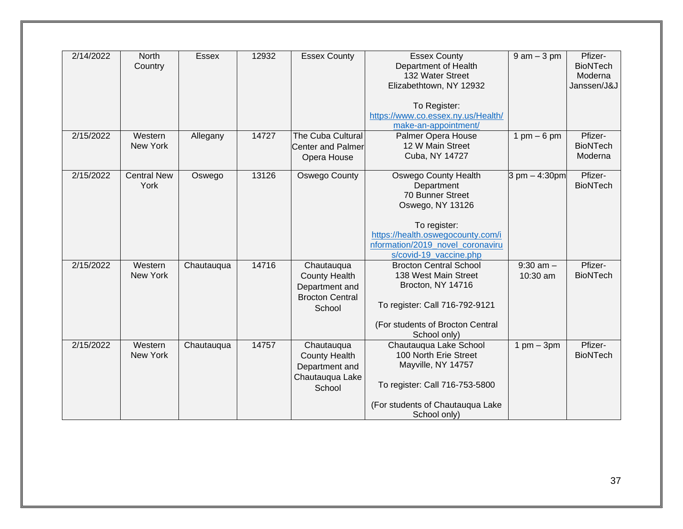| 2/14/2022 | <b>North</b><br>Country    | <b>Essex</b> | 12932 | <b>Essex County</b>                                                                      | <b>Essex County</b><br>Department of Health<br>132 Water Street<br>Elizabethtown, NY 12932<br>To Register:<br>https://www.co.essex.ny.us/Health/                                                     | $9$ am $-3$ pm                  | Pfizer-<br><b>BioNTech</b><br>Moderna<br>Janssen/J&J |
|-----------|----------------------------|--------------|-------|------------------------------------------------------------------------------------------|------------------------------------------------------------------------------------------------------------------------------------------------------------------------------------------------------|---------------------------------|------------------------------------------------------|
| 2/15/2022 | Western<br>New York        | Allegany     | 14727 | The Cuba Cultural<br><b>Center and Palmer</b><br>Opera House                             | make-an-appointment/<br>Palmer Opera House<br>12 W Main Street<br>Cuba, NY 14727                                                                                                                     | $1 \text{ pm} - 6 \text{ pm}$   | Pfizer-<br><b>BioNTech</b><br>Moderna                |
| 2/15/2022 | <b>Central New</b><br>York | Oswego       | 13126 | Oswego County                                                                            | <b>Oswego County Health</b><br>Department<br>70 Bunner Street<br>Oswego, NY 13126<br>To register:<br>https://health.oswegocounty.com/i<br>nformation/2019 novel coronaviru<br>s/covid-19_vaccine.php | $3 \text{ pm} - 4:30 \text{pm}$ | Pfizer-<br><b>BioNTech</b>                           |
| 2/15/2022 | Western<br>New York        | Chautauqua   | 14716 | Chautauqua<br><b>County Health</b><br>Department and<br><b>Brocton Central</b><br>School | <b>Brocton Central School</b><br>138 West Main Street<br>Brocton, NY 14716<br>To register: Call 716-792-9121<br>(For students of Brocton Central<br>School only)                                     | $9:30$ am $-$<br>10:30 am       | Pfizer-<br><b>BioNTech</b>                           |
| 2/15/2022 | Western<br>New York        | Chautauqua   | 14757 | Chautauqua<br><b>County Health</b><br>Department and<br>Chautauqua Lake<br>School        | Chautauqua Lake School<br>100 North Erie Street<br>Mayville, NY 14757<br>To register: Call 716-753-5800<br>(For students of Chautauqua Lake<br>School only)                                          | $1$ pm $-$ 3pm                  | Pfizer-<br><b>BioNTech</b>                           |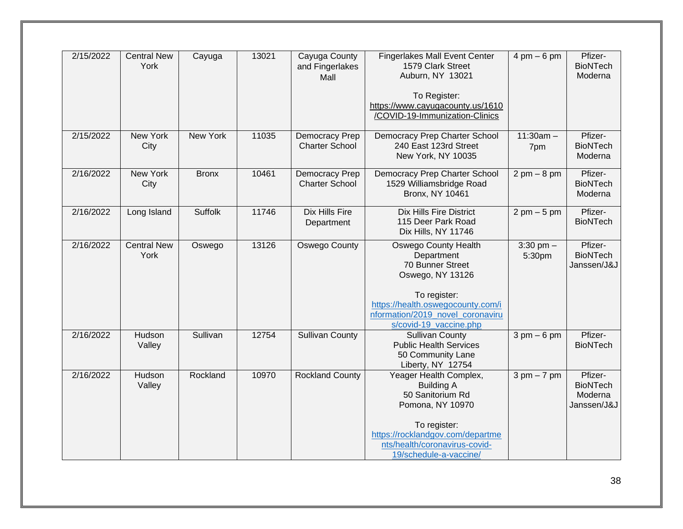| 2/15/2022 | <b>Central New</b><br>York | Cayuga       | 13021 | Cayuga County<br>and Fingerlakes<br>Mall | <b>Fingerlakes Mall Event Center</b><br>1579 Clark Street<br>Auburn, NY 13021                                                           | $4 \text{ pm} - 6 \text{ pm}$ | Pfizer-<br><b>BioNTech</b><br>Moderna                |
|-----------|----------------------------|--------------|-------|------------------------------------------|-----------------------------------------------------------------------------------------------------------------------------------------|-------------------------------|------------------------------------------------------|
|           |                            |              |       |                                          | To Register:<br>https://www.cayugacounty.us/1610<br>/COVID-19-Immunization-Clinics                                                      |                               |                                                      |
| 2/15/2022 | New York<br>City           | New York     | 11035 | Democracy Prep<br><b>Charter School</b>  | Democracy Prep Charter School<br>240 East 123rd Street<br>New York, NY 10035                                                            | $11:30am -$<br>7pm            | Pfizer-<br><b>BioNTech</b><br>Moderna                |
| 2/16/2022 | New York<br>City           | <b>Bronx</b> | 10461 | Democracy Prep<br><b>Charter School</b>  | Democracy Prep Charter School<br>1529 Williamsbridge Road<br><b>Bronx, NY 10461</b>                                                     | $2 \text{ pm} - 8 \text{ pm}$ | Pfizer-<br><b>BioNTech</b><br>Moderna                |
| 2/16/2022 | Long Island                | Suffolk      | 11746 | <b>Dix Hills Fire</b><br>Department      | <b>Dix Hills Fire District</b><br>115 Deer Park Road<br>Dix Hills, NY 11746                                                             | $2 \text{ pm} - 5 \text{ pm}$ | Pfizer-<br><b>BioNTech</b>                           |
| 2/16/2022 | <b>Central New</b><br>York | Oswego       | 13126 | Oswego County                            | <b>Oswego County Health</b><br>Department<br>70 Bunner Street<br>Oswego, NY 13126<br>To register:<br>https://health.oswegocounty.com/i  | $3:30$ pm $-$<br>5:30pm       | Pfizer-<br><b>BioNTech</b><br>Janssen/J&J            |
|           |                            |              |       |                                          | nformation/2019 novel coronaviru<br>s/covid-19_vaccine.php                                                                              |                               |                                                      |
| 2/16/2022 | Hudson<br>Valley           | Sullivan     | 12754 | <b>Sullivan County</b>                   | <b>Sullivan County</b><br><b>Public Health Services</b><br>50 Community Lane<br>Liberty, NY 12754                                       | $3 \text{ pm} - 6 \text{ pm}$ | Pfizer-<br><b>BioNTech</b>                           |
| 2/16/2022 | Hudson<br>Valley           | Rockland     | 10970 | <b>Rockland County</b>                   | Yeager Health Complex,<br><b>Building A</b><br>50 Sanitorium Rd<br>Pomona, NY 10970<br>To register:<br>https://rocklandgov.com/departme | $3 \text{ pm} - 7 \text{ pm}$ | Pfizer-<br><b>BioNTech</b><br>Moderna<br>Janssen/J&J |
|           |                            |              |       |                                          | nts/health/coronavirus-covid-<br>19/schedule-a-vaccine/                                                                                 |                               |                                                      |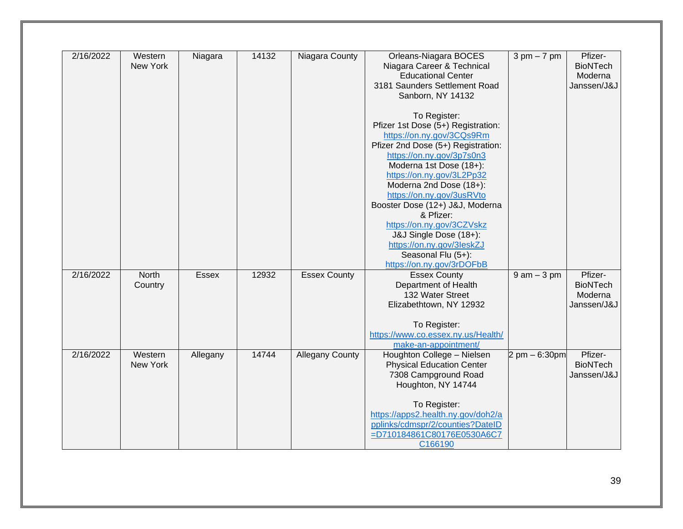| 2/16/2022 | Western      |              | 14132 |                        |                                                         |                                 | Pfizer-         |
|-----------|--------------|--------------|-------|------------------------|---------------------------------------------------------|---------------------------------|-----------------|
|           | New York     | Niagara      |       | Niagara County         | Orleans-Niagara BOCES                                   | $3 \text{ pm} - 7 \text{ pm}$   | <b>BioNTech</b> |
|           |              |              |       |                        | Niagara Career & Technical<br><b>Educational Center</b> |                                 |                 |
|           |              |              |       |                        | 3181 Saunders Settlement Road                           |                                 | Moderna         |
|           |              |              |       |                        |                                                         |                                 | Janssen/J&J     |
|           |              |              |       |                        | Sanborn, NY 14132                                       |                                 |                 |
|           |              |              |       |                        | To Register:                                            |                                 |                 |
|           |              |              |       |                        | Pfizer 1st Dose (5+) Registration:                      |                                 |                 |
|           |              |              |       |                        | https://on.ny.gov/3CQs9Rm                               |                                 |                 |
|           |              |              |       |                        | Pfizer 2nd Dose (5+) Registration:                      |                                 |                 |
|           |              |              |       |                        | https://on.ny.gov/3p7s0n3                               |                                 |                 |
|           |              |              |       |                        | Moderna 1st Dose (18+):                                 |                                 |                 |
|           |              |              |       |                        | https://on.ny.gov/3L2Pp32                               |                                 |                 |
|           |              |              |       |                        | Moderna 2nd Dose (18+):                                 |                                 |                 |
|           |              |              |       |                        | https://on.ny.gov/3usRVto                               |                                 |                 |
|           |              |              |       |                        | Booster Dose (12+) J&J, Moderna                         |                                 |                 |
|           |              |              |       |                        | & Pfizer:                                               |                                 |                 |
|           |              |              |       |                        | https://on.ny.gov/3CZVskz                               |                                 |                 |
|           |              |              |       |                        | J&J Single Dose (18+):                                  |                                 |                 |
|           |              |              |       |                        | https://on.ny.gov/3leskZJ                               |                                 |                 |
|           |              |              |       |                        | Seasonal Flu (5+):                                      |                                 |                 |
|           |              |              |       |                        | https://on.ny.gov/3rDOFbB                               |                                 |                 |
| 2/16/2022 | <b>North</b> | <b>Essex</b> | 12932 | <b>Essex County</b>    | <b>Essex County</b>                                     | $9$ am $-3$ pm                  | Pfizer-         |
|           | Country      |              |       |                        | Department of Health                                    |                                 | <b>BioNTech</b> |
|           |              |              |       |                        | 132 Water Street                                        |                                 | Moderna         |
|           |              |              |       |                        | Elizabethtown, NY 12932                                 |                                 | Janssen/J&J     |
|           |              |              |       |                        | To Register:                                            |                                 |                 |
|           |              |              |       |                        | https://www.co.essex.ny.us/Health/                      |                                 |                 |
|           |              |              |       |                        | make-an-appointment/                                    |                                 |                 |
| 2/16/2022 | Western      | Allegany     | 14744 | <b>Allegany County</b> | Houghton College - Nielsen                              | $2 \text{ pm} - 6:30 \text{pm}$ | Pfizer-         |
|           | New York     |              |       |                        | <b>Physical Education Center</b>                        |                                 | <b>BioNTech</b> |
|           |              |              |       |                        | 7308 Campground Road                                    |                                 | Janssen/J&J     |
|           |              |              |       |                        | Houghton, NY 14744                                      |                                 |                 |
|           |              |              |       |                        | To Register:                                            |                                 |                 |
|           |              |              |       |                        | https://apps2.health.ny.gov/doh2/a                      |                                 |                 |
|           |              |              |       |                        | pplinks/cdmspr/2/counties?DateID                        |                                 |                 |
|           |              |              |       |                        | =D710184861C80176E0530A6C7                              |                                 |                 |
|           |              |              |       |                        | C166190                                                 |                                 |                 |
|           |              |              |       |                        |                                                         |                                 |                 |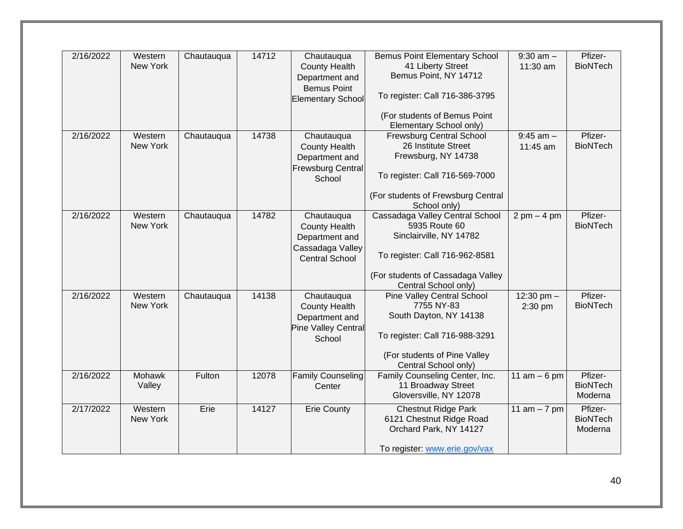| 2/16/2022 | Western<br>New York | Chautauqua | 14712 | Chautauqua<br><b>County Health</b><br>Department and<br><b>Bemus Point</b><br><b>Elementary School</b> | <b>Bemus Point Elementary School</b><br>41 Liberty Street<br>Bemus Point, NY 14712<br>To register: Call 716-386-3795<br>(For students of Bemus Point                                        | $9:30$ am $-$<br>11:30 am     | Pfizer-<br><b>BioNTech</b>            |
|-----------|---------------------|------------|-------|--------------------------------------------------------------------------------------------------------|---------------------------------------------------------------------------------------------------------------------------------------------------------------------------------------------|-------------------------------|---------------------------------------|
| 2/16/2022 | Western<br>New York | Chautauqua | 14738 | Chautauqua<br><b>County Health</b><br>Department and<br><b>Frewsburg Central</b><br>School             | Elementary School only)<br><b>Frewsburg Central School</b><br>26 Institute Street<br>Frewsburg, NY 14738<br>To register: Call 716-569-7000<br>(For students of Frewsburg Central            | $9:45$ am $-$<br>11:45 am     | Pfizer-<br><b>BioNTech</b>            |
| 2/16/2022 | Western<br>New York | Chautauqua | 14782 | Chautauqua<br><b>County Health</b><br>Department and<br>Cassadaga Valley<br><b>Central School</b>      | School only)<br>Cassadaga Valley Central School<br>5935 Route 60<br>Sinclairville, NY 14782<br>To register: Call 716-962-8581<br>(For students of Cassadaga Valley                          | $2 \text{ pm} - 4 \text{ pm}$ | Pfizer-<br><b>BioNTech</b>            |
| 2/16/2022 | Western<br>New York | Chautauqua | 14138 | Chautauqua<br><b>County Health</b><br>Department and<br><b>Pine Valley Central</b><br>School           | Central School only)<br><b>Pine Valley Central School</b><br>7755 NY-83<br>South Dayton, NY 14138<br>To register: Call 716-988-3291<br>(For students of Pine Valley<br>Central School only) | 12:30 pm $-$<br>2:30 pm       | Pfizer-<br><b>BioNTech</b>            |
| 2/16/2022 | Mohawk<br>Valley    | Fulton     | 12078 | <b>Family Counseling</b><br>Center                                                                     | Family Counseling Center, Inc.<br>11 Broadway Street<br>Gloversville, NY 12078                                                                                                              | 11 $am - 6 pm$                | Pfizer-<br><b>BioNTech</b><br>Moderna |
| 2/17/2022 | Western<br>New York | Erie       | 14127 | <b>Erie County</b>                                                                                     | <b>Chestnut Ridge Park</b><br>6121 Chestnut Ridge Road<br>Orchard Park, NY 14127<br>To register: www.erie.gov/vax                                                                           | 11 $am - 7 pm$                | Pfizer-<br><b>BioNTech</b><br>Moderna |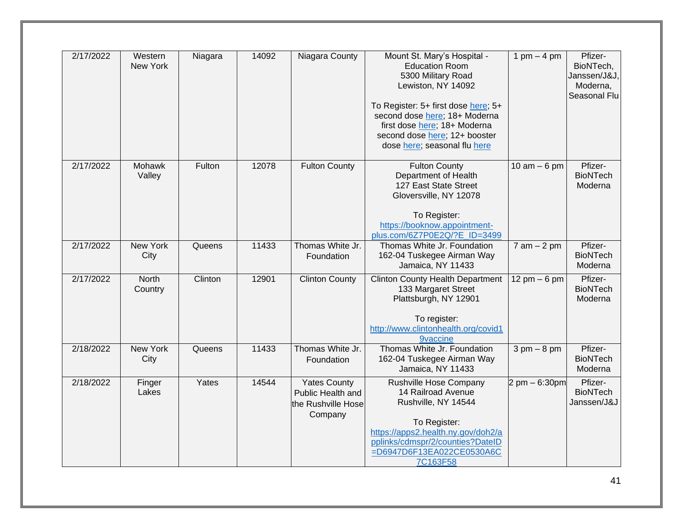| 2/17/2022 | Western<br>New York | Niagara | 14092 | Niagara County                                                            | Mount St. Mary's Hospital -<br><b>Education Room</b><br>5300 Military Road<br>Lewiston, NY 14092<br>To Register: 5+ first dose here; 5+<br>second dose here; 18+ Moderna<br>first dose here; 18+ Moderna<br>second dose here; 12+ booster<br>dose here; seasonal flu here | 1 pm $-$ 4 pm                    | Pfizer-<br>BioNTech,<br>Janssen/J&J,<br>Moderna,<br>Seasonal Flu |
|-----------|---------------------|---------|-------|---------------------------------------------------------------------------|---------------------------------------------------------------------------------------------------------------------------------------------------------------------------------------------------------------------------------------------------------------------------|----------------------------------|------------------------------------------------------------------|
| 2/17/2022 | Mohawk<br>Valley    | Fulton  | 12078 | <b>Fulton County</b>                                                      | <b>Fulton County</b><br>Department of Health<br>127 East State Street<br>Gloversville, NY 12078<br>To Register:<br>https://booknow.appointment-<br>plus.com/6Z7P0E2Q/?E ID=3499                                                                                           | $10$ am $-6$ pm                  | Pfizer-<br><b>BioNTech</b><br>Moderna                            |
| 2/17/2022 | New York<br>City    | Queens  | 11433 | Thomas White Jr.<br>Foundation                                            | Thomas White Jr. Foundation<br>162-04 Tuskegee Airman Way<br>Jamaica, NY 11433                                                                                                                                                                                            | $7 am - 2 pm$                    | Pfizer-<br><b>BioNTech</b><br>Moderna                            |
| 2/17/2022 | North<br>Country    | Clinton | 12901 | <b>Clinton County</b>                                                     | <b>Clinton County Health Department</b><br>133 Margaret Street<br>Plattsburgh, NY 12901<br>To register:<br>http://www.clintonhealth.org/covid1<br><b>9vaccine</b>                                                                                                         | $12 \text{ pm} - 6 \text{ pm}$   | Pfizer-<br><b>BioNTech</b><br>Moderna                            |
| 2/18/2022 | New York<br>City    | Queens  | 11433 | Thomas White Jr.<br>Foundation                                            | Thomas White Jr. Foundation<br>162-04 Tuskegee Airman Way<br>Jamaica, NY 11433                                                                                                                                                                                            | $3 \text{ pm} - 8 \text{ pm}$    | Pfizer-<br><b>BioNTech</b><br>Moderna                            |
| 2/18/2022 | Finger<br>Lakes     | Yates   | 14544 | <b>Yates County</b><br>Public Health and<br>the Rushville Hose<br>Company | Rushville Hose Company<br>14 Railroad Avenue<br>Rushville, NY 14544<br>To Register:<br>https://apps2.health.ny.gov/doh2/a<br>pplinks/cdmspr/2/counties?DateID<br>=D6947D6F13EA022CE0530A6C<br>7C163F58                                                                    | $2 \text{ pm} - 6:30 \text{ pm}$ | Pfizer-<br><b>BioNTech</b><br>Janssen/J&J                        |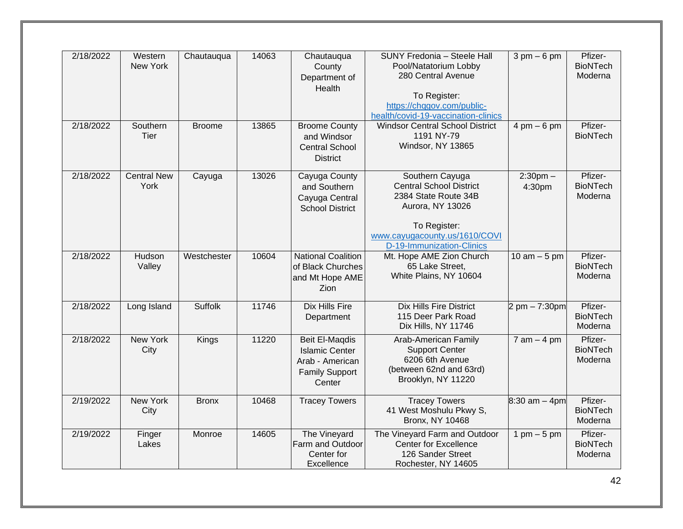| 2/18/2022 | Western<br><b>New York</b> | Chautauqua     | 14063 | Chautauqua<br>County<br>Department of<br>Health                                                      | SUNY Fredonia - Steele Hall<br>Pool/Natatorium Lobby<br>280 Central Avenue<br>To Register:<br>https://chqgov.com/public-<br>health/covid-19-vaccination-clinics             | $3 \text{ pm} - 6 \text{ pm}$   | Pfizer-<br><b>BioNTech</b><br>Moderna |
|-----------|----------------------------|----------------|-------|------------------------------------------------------------------------------------------------------|-----------------------------------------------------------------------------------------------------------------------------------------------------------------------------|---------------------------------|---------------------------------------|
| 2/18/2022 | Southern<br>Tier           | <b>Broome</b>  | 13865 | <b>Broome County</b><br>and Windsor<br><b>Central School</b><br><b>District</b>                      | <b>Windsor Central School District</b><br>1191 NY-79<br>Windsor, NY 13865                                                                                                   | $4 \text{ pm} - 6 \text{ pm}$   | Pfizer-<br><b>BioNTech</b>            |
| 2/18/2022 | <b>Central New</b><br>York | Cayuga         | 13026 | Cayuga County<br>and Southern<br>Cayuga Central<br><b>School District</b>                            | Southern Cayuga<br><b>Central School District</b><br>2384 State Route 34B<br>Aurora, NY 13026<br>To Register:<br>www.cayugacounty.us/1610/COVI<br>D-19-Immunization-Clinics | $2:30$ pm $-$<br>4:30pm         | Pfizer-<br><b>BioNTech</b><br>Moderna |
| 2/18/2022 | Hudson<br>Valley           | Westchester    | 10604 | <b>National Coalition</b><br>of Black Churches<br>and Mt Hope AME<br><b>Zion</b>                     | Mt. Hope AME Zion Church<br>65 Lake Street,<br>White Plains, NY 10604                                                                                                       | 10 $am - 5$ pm                  | Pfizer-<br><b>BioNTech</b><br>Moderna |
| 2/18/2022 | Long Island                | <b>Suffolk</b> | 11746 | <b>Dix Hills Fire</b><br>Department                                                                  | <b>Dix Hills Fire District</b><br>115 Deer Park Road<br>Dix Hills, NY 11746                                                                                                 | $2 \text{ pm} - 7:30 \text{pm}$ | Pfizer-<br><b>BioNTech</b><br>Moderna |
| 2/18/2022 | <b>New York</b><br>City    | Kings          | 11220 | <b>Beit El-Maqdis</b><br><b>Islamic Center</b><br>Arab - American<br><b>Family Support</b><br>Center | Arab-American Family<br><b>Support Center</b><br>6206 6th Avenue<br>(between 62nd and 63rd)<br>Brooklyn, NY 11220                                                           | $7$ am $-$ 4 pm                 | Pfizer-<br><b>BioNTech</b><br>Moderna |
| 2/19/2022 | <b>New York</b><br>City    | <b>Bronx</b>   | 10468 | <b>Tracey Towers</b>                                                                                 | <b>Tracey Towers</b><br>41 West Moshulu Pkwy S,<br><b>Bronx, NY 10468</b>                                                                                                   | $8:30$ am $-$ 4pm               | Pfizer-<br><b>BioNTech</b><br>Moderna |
| 2/19/2022 | Finger<br>Lakes            | Monroe         | 14605 | The Vineyard<br>Farm and Outdoor<br>Center for<br>Excellence                                         | The Vineyard Farm and Outdoor<br><b>Center for Excellence</b><br>126 Sander Street<br>Rochester, NY 14605                                                                   | 1 pm $-5$ pm                    | Pfizer-<br><b>BioNTech</b><br>Moderna |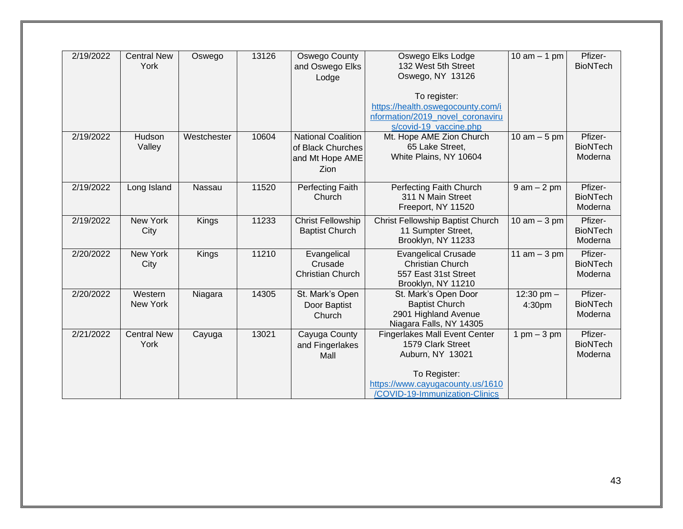| 2/19/2022 | <b>Central New</b> | Oswego      | 13126 | Oswego County             | Oswego Elks Lodge                                        | $\overline{10}$ am $-1$ pm | Pfizer-         |
|-----------|--------------------|-------------|-------|---------------------------|----------------------------------------------------------|----------------------------|-----------------|
|           | York               |             |       | and Oswego Elks           | 132 West 5th Street                                      |                            | <b>BioNTech</b> |
|           |                    |             |       | Lodge                     | Oswego, NY 13126                                         |                            |                 |
|           |                    |             |       |                           |                                                          |                            |                 |
|           |                    |             |       |                           | To register:                                             |                            |                 |
|           |                    |             |       |                           | https://health.oswegocounty.com/i                        |                            |                 |
|           |                    |             |       |                           | nformation/2019 novel coronaviru                         |                            |                 |
|           |                    |             |       |                           | s/covid-19 vaccine.php                                   |                            |                 |
| 2/19/2022 | Hudson             | Westchester | 10604 | <b>National Coalition</b> | Mt. Hope AME Zion Church                                 | 10 $am - 5$ pm             | Pfizer-         |
|           | Valley             |             |       | of Black Churches         | 65 Lake Street,                                          |                            | <b>BioNTech</b> |
|           |                    |             |       | and Mt Hope AME           | White Plains, NY 10604                                   |                            | Moderna         |
|           |                    |             |       | Zion                      |                                                          |                            |                 |
|           |                    |             |       |                           |                                                          |                            |                 |
| 2/19/2022 | Long Island        | Nassau      | 11520 | Perfecting Faith          | Perfecting Faith Church                                  | $9$ am $-2$ pm             | Pfizer-         |
|           |                    |             |       | Church                    | 311 N Main Street                                        |                            | <b>BioNTech</b> |
|           |                    |             |       |                           | Freeport, NY 11520                                       |                            | Moderna         |
| 2/19/2022 | New York           | Kings       | 11233 | <b>Christ Fellowship</b>  | Christ Fellowship Baptist Church                         | $10$ am $-3$ pm            | Pfizer-         |
|           | City               |             |       | <b>Baptist Church</b>     | 11 Sumpter Street,                                       |                            | <b>BioNTech</b> |
|           |                    |             |       |                           | Brooklyn, NY 11233                                       |                            | Moderna         |
| 2/20/2022 | <b>New York</b>    | Kings       | 11210 | Evangelical               | <b>Evangelical Crusade</b>                               | 11 am $-3$ pm              | Pfizer-         |
|           | City               |             |       | Crusade                   | <b>Christian Church</b>                                  |                            | <b>BioNTech</b> |
|           |                    |             |       | <b>Christian Church</b>   | 557 East 31st Street                                     |                            | Moderna         |
|           |                    |             |       |                           | Brooklyn, NY 11210                                       |                            |                 |
| 2/20/2022 | Western            |             | 14305 | St. Mark's Open           | St. Mark's Open Door                                     | 12:30 pm $-$               | Pfizer-         |
|           | New York           | Niagara     |       |                           | <b>Baptist Church</b>                                    |                            | <b>BioNTech</b> |
|           |                    |             |       | Door Baptist              |                                                          | 4:30pm                     |                 |
|           |                    |             |       | Church                    | 2901 Highland Avenue                                     |                            | Moderna         |
| 2/21/2022 | <b>Central New</b> |             | 13021 | Cayuga County             | Niagara Falls, NY 14305<br>Fingerlakes Mall Event Center | $1$ pm $-3$ pm             | Pfizer-         |
|           |                    | Cayuga      |       |                           |                                                          |                            | <b>BioNTech</b> |
|           | York               |             |       | and Fingerlakes           | 1579 Clark Street                                        |                            |                 |
|           |                    |             |       | Mall                      | Auburn, NY 13021                                         |                            | Moderna         |
|           |                    |             |       |                           | To Register:                                             |                            |                 |
|           |                    |             |       |                           |                                                          |                            |                 |
|           |                    |             |       |                           | https://www.cayugacounty.us/1610                         |                            |                 |
|           |                    |             |       |                           | /COVID-19-Immunization-Clinics                           |                            |                 |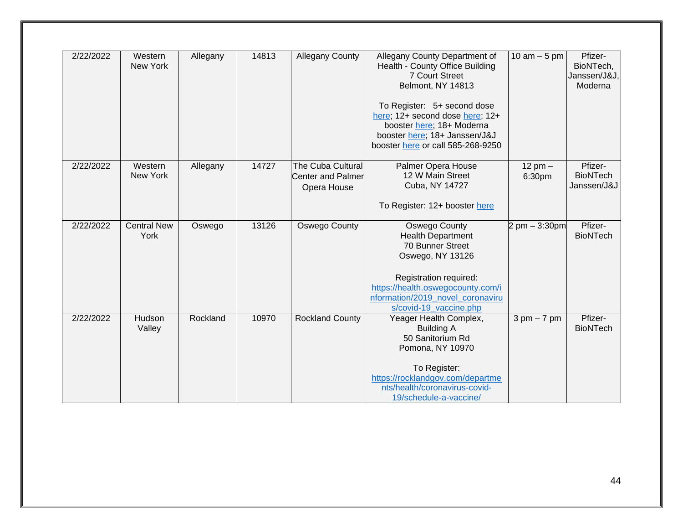| 2/22/2022 | Western<br>New York        | Allegany | 14813 | <b>Allegany County</b>                                       | Allegany County Department of<br>Health - County Office Building<br><b>7 Court Street</b><br>Belmont, NY 14813<br>To Register: 5+ second dose<br>here; 12+ second dose here; 12+<br>booster here; 18+ Moderna<br>booster here; 18+ Janssen/J&J<br>booster here or call 585-268-9250 | $10$ am $-5$ pm               | Pfizer-<br>BioNTech,<br>Janssen/J&J,<br>Moderna |
|-----------|----------------------------|----------|-------|--------------------------------------------------------------|-------------------------------------------------------------------------------------------------------------------------------------------------------------------------------------------------------------------------------------------------------------------------------------|-------------------------------|-------------------------------------------------|
| 2/22/2022 | Western<br>New York        | Allegany | 14727 | The Cuba Cultural<br><b>Center and Palmer</b><br>Opera House | Palmer Opera House<br>12 W Main Street<br>Cuba, NY 14727<br>To Register: 12+ booster here                                                                                                                                                                                           | $12$ pm $-$<br>6:30pm         | Pfizer-<br><b>BioNTech</b><br>Janssen/J&J       |
| 2/22/2022 | <b>Central New</b><br>York | Oswego   | 13126 | <b>Oswego County</b>                                         | Oswego County<br><b>Health Department</b><br>70 Bunner Street<br>Oswego, NY 13126<br>Registration required:<br>https://health.oswegocounty.com/i<br>nformation/2019 novel coronaviru<br>s/covid-19_vaccine.php                                                                      | 2 pm $-3:30$ pm               | Pfizer-<br><b>BioNTech</b>                      |
| 2/22/2022 | Hudson<br>Valley           | Rockland | 10970 | <b>Rockland County</b>                                       | Yeager Health Complex,<br><b>Building A</b><br>50 Sanitorium Rd<br>Pomona, NY 10970<br>To Register:<br>https://rocklandgov.com/departme<br>nts/health/coronavirus-covid-<br>19/schedule-a-vaccine/                                                                                  | $3 \text{ pm} - 7 \text{ pm}$ | Pfizer-<br><b>BioNTech</b>                      |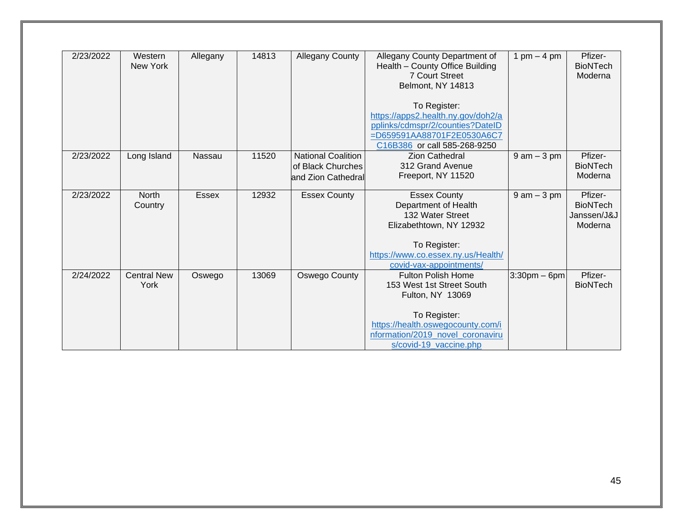| 2/23/2022 | Western<br>New York        | Allegany     | 14813 | Allegany County                                                      | Allegany County Department of<br>Health - County Office Building<br><b>7 Court Street</b><br>Belmont, NY 14813<br>To Register:<br>https://apps2.health.ny.gov/doh2/a<br>pplinks/cdmspr/2/counties?DateID<br>=D659591AA88701F2E0530A6C7 | 1 pm $-$ 4 pm   | Pfizer-<br><b>BioNTech</b><br>Moderna                |
|-----------|----------------------------|--------------|-------|----------------------------------------------------------------------|----------------------------------------------------------------------------------------------------------------------------------------------------------------------------------------------------------------------------------------|-----------------|------------------------------------------------------|
|           |                            |              |       |                                                                      | C16B386 or call 585-268-9250                                                                                                                                                                                                           |                 |                                                      |
| 2/23/2022 | Long Island                | Nassau       | 11520 | <b>National Coalition</b><br>of Black Churches<br>and Zion Cathedral | <b>Zion Cathedral</b><br>312 Grand Avenue<br>Freeport, NY 11520                                                                                                                                                                        | $9$ am $-3$ pm  | Pfizer-<br><b>BioNTech</b><br>Moderna                |
| 2/23/2022 | <b>North</b><br>Country    | <b>Essex</b> | 12932 | <b>Essex County</b>                                                  | <b>Essex County</b><br>Department of Health<br>132 Water Street<br>Elizabethtown, NY 12932                                                                                                                                             | $9$ am $-3$ pm  | Pfizer-<br><b>BioNTech</b><br>Janssen/J&J<br>Moderna |
|           |                            |              |       |                                                                      | To Register:<br>https://www.co.essex.ny.us/Health/<br>covid-vax-appointments/                                                                                                                                                          |                 |                                                      |
| 2/24/2022 | <b>Central New</b><br>York | Oswego       | 13069 | Oswego County                                                        | <b>Fulton Polish Home</b><br>153 West 1st Street South<br>Fulton, NY 13069                                                                                                                                                             | $3:30$ pm – 6pm | Pfizer-<br><b>BioNTech</b>                           |
|           |                            |              |       |                                                                      | To Register:<br>https://health.oswegocounty.com/i<br>nformation/2019 novel coronaviru<br>s/covid-19 vaccine.php                                                                                                                        |                 |                                                      |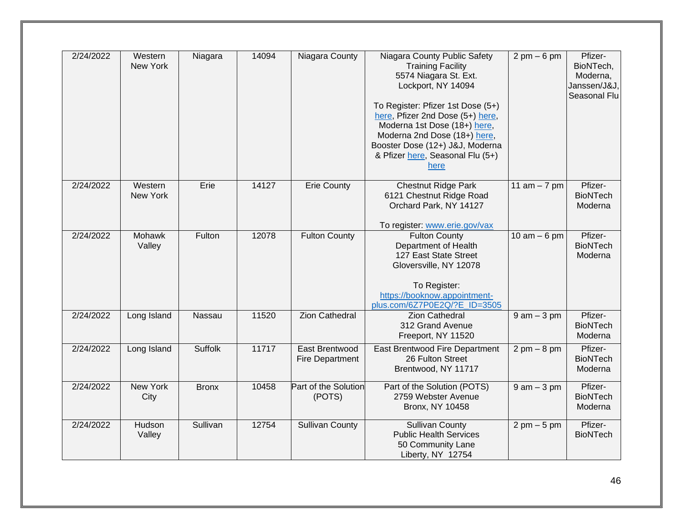| 2/24/2022 | Western<br>New York | Niagara      | 14094 | Niagara County                    | Niagara County Public Safety<br><b>Training Facility</b><br>5574 Niagara St. Ext.<br>Lockport, NY 14094<br>To Register: Pfizer 1st Dose (5+)<br>here, Pfizer 2nd Dose (5+) here,<br>Moderna 1st Dose (18+) here,<br>Moderna 2nd Dose (18+) here,<br>Booster Dose (12+) J&J, Moderna<br>& Pfizer here, Seasonal Flu (5+)<br>here | $2 \text{ pm} - 6 \text{ pm}$ | Pfizer-<br>BioNTech,<br>Moderna,<br>Janssen/J&J,<br>Seasonal Flu |
|-----------|---------------------|--------------|-------|-----------------------------------|---------------------------------------------------------------------------------------------------------------------------------------------------------------------------------------------------------------------------------------------------------------------------------------------------------------------------------|-------------------------------|------------------------------------------------------------------|
| 2/24/2022 | Western<br>New York | Erie         | 14127 | <b>Erie County</b>                | <b>Chestnut Ridge Park</b><br>6121 Chestnut Ridge Road<br>Orchard Park, NY 14127<br>To register: www.erie.gov/vax                                                                                                                                                                                                               | 11 $am - 7 pm$                | Pfizer-<br><b>BioNTech</b><br>Moderna                            |
| 2/24/2022 | Mohawk<br>Valley    | Fulton       | 12078 | <b>Fulton County</b>              | <b>Fulton County</b><br>Department of Health<br>127 East State Street<br>Gloversville, NY 12078<br>To Register:<br>https://booknow.appointment-<br>plus.com/6Z7P0E2Q/?E ID=3505                                                                                                                                                 | $10$ am $-6$ pm               | Pfizer-<br><b>BioNTech</b><br>Moderna                            |
| 2/24/2022 | Long Island         | Nassau       | 11520 | <b>Zion Cathedral</b>             | <b>Zion Cathedral</b><br>312 Grand Avenue<br>Freeport, NY 11520                                                                                                                                                                                                                                                                 | $9$ am $-3$ pm                | Pfizer-<br><b>BioNTech</b><br>Moderna                            |
| 2/24/2022 | Long Island         | Suffolk      | 11717 | East Brentwood<br>Fire Department | East Brentwood Fire Department<br>26 Fulton Street<br>Brentwood, NY 11717                                                                                                                                                                                                                                                       | $2 \text{ pm} - 8 \text{ pm}$ | Pfizer-<br><b>BioNTech</b><br>Moderna                            |
| 2/24/2022 | New York<br>City    | <b>Bronx</b> | 10458 | Part of the Solution<br>(POTS)    | Part of the Solution (POTS)<br>2759 Webster Avenue<br><b>Bronx, NY 10458</b>                                                                                                                                                                                                                                                    | $9$ am $-3$ pm                | Pfizer-<br><b>BioNTech</b><br>Moderna                            |
| 2/24/2022 | Hudson<br>Valley    | Sullivan     | 12754 | <b>Sullivan County</b>            | <b>Sullivan County</b><br><b>Public Health Services</b><br>50 Community Lane<br>Liberty, NY 12754                                                                                                                                                                                                                               | $2 \text{ pm} - 5 \text{ pm}$ | Pfizer-<br><b>BioNTech</b>                                       |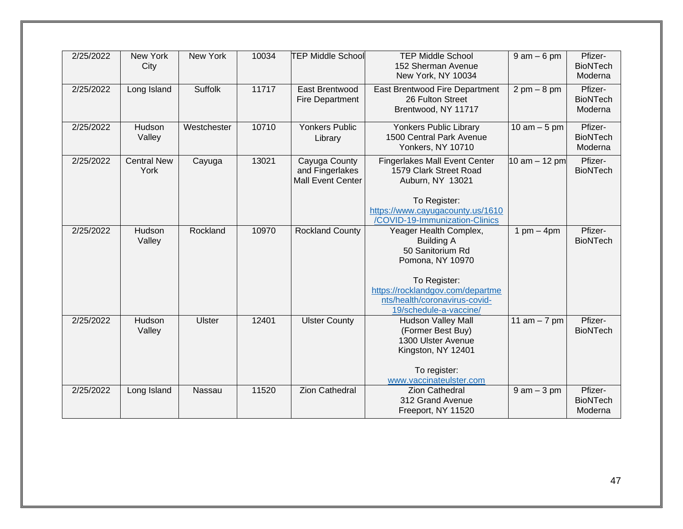| 2/25/2022 | New York<br>City           | New York      | 10034 | <b>TEP Middle School</b>                                     | <b>TEP Middle School</b><br>152 Sherman Avenue<br>New York, NY 10034                                                                                                                               | $9$ am $-6$ pm                | Pfizer-<br><b>BioNTech</b><br>Moderna |
|-----------|----------------------------|---------------|-------|--------------------------------------------------------------|----------------------------------------------------------------------------------------------------------------------------------------------------------------------------------------------------|-------------------------------|---------------------------------------|
| 2/25/2022 | Long Island                | Suffolk       | 11717 | East Brentwood<br>Fire Department                            | East Brentwood Fire Department<br>26 Fulton Street<br>Brentwood, NY 11717                                                                                                                          | $2 \text{ pm} - 8 \text{ pm}$ | Pfizer-<br><b>BioNTech</b><br>Moderna |
| 2/25/2022 | Hudson<br>Valley           | Westchester   | 10710 | <b>Yonkers Public</b><br>Library                             | Yonkers Public Library<br>1500 Central Park Avenue<br>Yonkers, NY 10710                                                                                                                            | 10 am $-5$ pm                 | Pfizer-<br><b>BioNTech</b><br>Moderna |
| 2/25/2022 | <b>Central New</b><br>York | Cayuga        | 13021 | Cayuga County<br>and Fingerlakes<br><b>Mall Event Center</b> | <b>Fingerlakes Mall Event Center</b><br>1579 Clark Street Road<br>Auburn, NY 13021<br>To Register:<br>https://www.cayugacounty.us/1610<br>/COVID-19-Immunization-Clinics                           | 10 am $-$ 12 pm               | Pfizer-<br><b>BioNTech</b>            |
| 2/25/2022 | Hudson<br>Valley           | Rockland      | 10970 | <b>Rockland County</b>                                       | Yeager Health Complex,<br><b>Building A</b><br>50 Sanitorium Rd<br>Pomona, NY 10970<br>To Register:<br>https://rocklandgov.com/departme<br>nts/health/coronavirus-covid-<br>19/schedule-a-vaccine/ | 1 pm $-$ 4pm                  | Pfizer-<br><b>BioNTech</b>            |
| 2/25/2022 | Hudson<br>Valley           | <b>Ulster</b> | 12401 | <b>Ulster County</b>                                         | <b>Hudson Valley Mall</b><br>(Former Best Buy)<br>1300 Ulster Avenue<br>Kingston, NY 12401<br>To register:<br>www.vaccinateulster.com                                                              | 11 $am - 7 pm$                | Pfizer-<br><b>BioNTech</b>            |
| 2/25/2022 | Long Island                | Nassau        | 11520 | <b>Zion Cathedral</b>                                        | <b>Zion Cathedral</b><br>312 Grand Avenue<br>Freeport, NY 11520                                                                                                                                    | $9$ am $-3$ pm                | Pfizer-<br><b>BioNTech</b><br>Moderna |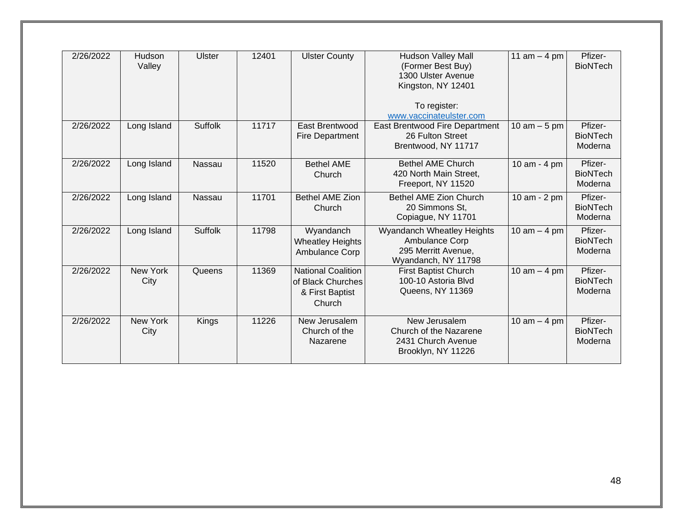| 2/26/2022 | Hudson<br>Valley | <b>Ulster</b>  | 12401 | <b>Ulster County</b>                                                        | <b>Hudson Valley Mall</b><br>(Former Best Buy)<br>1300 Ulster Avenue<br>Kingston, NY 12401<br>To register:<br>www.vaccinateulster.com | 11 $am - 4 pm$ | Pfizer-<br><b>BioNTech</b>            |
|-----------|------------------|----------------|-------|-----------------------------------------------------------------------------|---------------------------------------------------------------------------------------------------------------------------------------|----------------|---------------------------------------|
| 2/26/2022 | Long Island      | Suffolk        | 11717 | East Brentwood<br>Fire Department                                           | East Brentwood Fire Department<br>26 Fulton Street<br>Brentwood, NY 11717                                                             | 10 $am - 5$ pm | Pfizer-<br><b>BioNTech</b><br>Moderna |
| 2/26/2022 | Long Island      | Nassau         | 11520 | <b>Bethel AME</b><br>Church                                                 | <b>Bethel AME Church</b><br>420 North Main Street,<br>Freeport, NY 11520                                                              | 10 am - 4 pm   | Pfizer-<br><b>BioNTech</b><br>Moderna |
| 2/26/2022 | Long Island      | Nassau         | 11701 | <b>Bethel AME Zion</b><br>Church                                            | Bethel AME Zion Church<br>20 Simmons St.<br>Copiague, NY 11701                                                                        | 10 am - 2 pm   | Pfizer-<br><b>BioNTech</b><br>Moderna |
| 2/26/2022 | Long Island      | <b>Suffolk</b> | 11798 | Wyandanch<br><b>Wheatley Heights</b><br>Ambulance Corp                      | Wyandanch Wheatley Heights<br><b>Ambulance Corp</b><br>295 Merritt Avenue,<br>Wyandanch, NY 11798                                     | 10 $am - 4 pm$ | Pfizer-<br><b>BioNTech</b><br>Moderna |
| 2/26/2022 | New York<br>City | Queens         | 11369 | <b>National Coalition</b><br>of Black Churches<br>& First Baptist<br>Church | <b>First Baptist Church</b><br>100-10 Astoria Blvd<br>Queens, NY 11369                                                                | 10 $am - 4 pm$ | Pfizer-<br><b>BioNTech</b><br>Moderna |
| 2/26/2022 | New York<br>City | Kings          | 11226 | New Jerusalem<br>Church of the<br>Nazarene                                  | New Jerusalem<br>Church of the Nazarene<br>2431 Church Avenue<br>Brooklyn, NY 11226                                                   | 10 am $-$ 4 pm | Pfizer-<br><b>BioNTech</b><br>Moderna |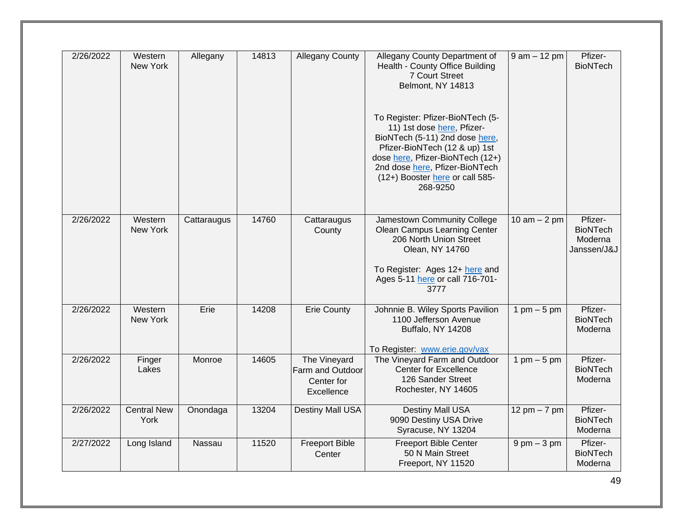| 2/26/2022 | Western<br>New York        | Allegany    | 14813 | <b>Allegany County</b>                                       | Allegany County Department of<br>Health - County Office Building<br>7 Court Street<br>Belmont, NY 14813<br>To Register: Pfizer-BioNTech (5-<br>11) 1st dose here, Pfizer-<br>BioNTech (5-11) 2nd dose here,<br>Pfizer-BioNTech (12 & up) 1st<br>dose here, Pfizer-BioNTech (12+)<br>2nd dose here, Pfizer-BioNTech<br>(12+) Booster here or call 585-<br>268-9250 | $9$ am $-12$ pm | Pfizer-<br><b>BioNTech</b>                           |
|-----------|----------------------------|-------------|-------|--------------------------------------------------------------|-------------------------------------------------------------------------------------------------------------------------------------------------------------------------------------------------------------------------------------------------------------------------------------------------------------------------------------------------------------------|-----------------|------------------------------------------------------|
| 2/26/2022 | Western<br>New York        | Cattaraugus | 14760 | Cattaraugus<br>County                                        | Jamestown Community College<br>Olean Campus Learning Center<br>206 North Union Street<br>Olean, NY 14760<br>To Register: Ages 12+ here and<br>Ages 5-11 here or call 716-701-<br>3777                                                                                                                                                                             | 10 am $-$ 2 pm  | Pfizer-<br><b>BioNTech</b><br>Moderna<br>Janssen/J&J |
| 2/26/2022 | Western<br><b>New York</b> | Erie        | 14208 | <b>Erie County</b>                                           | Johnnie B. Wiley Sports Pavilion<br>1100 Jefferson Avenue<br>Buffalo, NY 14208<br>To Register: www.erie.gov/vax                                                                                                                                                                                                                                                   | 1 pm $-5$ pm    | Pfizer-<br><b>BioNTech</b><br>Moderna                |
| 2/26/2022 | Finger<br>Lakes            | Monroe      | 14605 | The Vineyard<br>Farm and Outdoor<br>Center for<br>Excellence | The Vineyard Farm and Outdoor<br><b>Center for Excellence</b><br>126 Sander Street<br>Rochester, NY 14605                                                                                                                                                                                                                                                         | 1 pm $-5$ pm    | Pfizer-<br><b>BioNTech</b><br>Moderna                |
| 2/26/2022 | <b>Central New</b><br>York | Onondaga    | 13204 | Destiny Mall USA                                             | <b>Destiny Mall USA</b><br>9090 Destiny USA Drive<br>Syracuse, NY 13204                                                                                                                                                                                                                                                                                           | 12 pm $-7$ pm   | Pfizer-<br><b>BioNTech</b><br>Moderna                |
| 2/27/2022 | Long Island                | Nassau      | 11520 | <b>Freeport Bible</b><br>Center                              | <b>Freeport Bible Center</b><br>50 N Main Street<br>Freeport, NY 11520                                                                                                                                                                                                                                                                                            | $9$ pm $-3$ pm  | Pfizer-<br><b>BioNTech</b><br>Moderna                |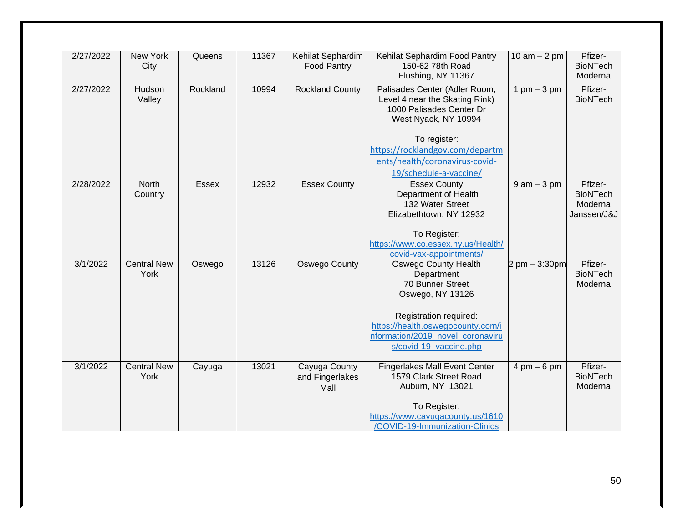| 2/27/2022 | New York<br>City           | Queens       | 11367 | Kehilat Sephardim<br>Food Pantry         | Kehilat Sephardim Food Pantry<br>150-62 78th Road<br>Flushing, NY 11367                                                   | $10$ am $- 2$ pm                 | Pfizer-<br><b>BioNTech</b><br>Moderna                |
|-----------|----------------------------|--------------|-------|------------------------------------------|---------------------------------------------------------------------------------------------------------------------------|----------------------------------|------------------------------------------------------|
| 2/27/2022 | Hudson<br>Valley           | Rockland     | 10994 | <b>Rockland County</b>                   | Palisades Center (Adler Room,<br>Level 4 near the Skating Rink)<br>1000 Palisades Center Dr<br>West Nyack, NY 10994       | 1 pm $-3$ pm                     | Pfizer-<br><b>BioNTech</b>                           |
|           |                            |              |       |                                          | To register:<br>https://rocklandgov.com/departm<br>ents/health/coronavirus-covid-<br>19/schedule-a-vaccine/               |                                  |                                                      |
| 2/28/2022 | North<br>Country           | <b>Essex</b> | 12932 | <b>Essex County</b>                      | <b>Essex County</b><br>Department of Health<br>132 Water Street<br>Elizabethtown, NY 12932                                | $9$ am $-3$ pm                   | Pfizer-<br><b>BioNTech</b><br>Moderna<br>Janssen/J&J |
|           |                            |              |       |                                          | To Register:<br>https://www.co.essex.ny.us/Health/<br>covid-vax-appointments/                                             |                                  |                                                      |
| 3/1/2022  | <b>Central New</b><br>York | Oswego       | 13126 | <b>Oswego County</b>                     | <b>Oswego County Health</b><br>Department<br>70 Bunner Street<br>Oswego, NY 13126                                         | $2 \text{ pm} - 3:30 \text{ pm}$ | Pfizer-<br><b>BioNTech</b><br>Moderna                |
|           |                            |              |       |                                          | Registration required:<br>https://health.oswegocounty.com/i<br>nformation/2019 novel coronaviru<br>s/covid-19 vaccine.php |                                  |                                                      |
| 3/1/2022  | <b>Central New</b><br>York | Cayuga       | 13021 | Cayuga County<br>and Fingerlakes<br>Mall | <b>Fingerlakes Mall Event Center</b><br>1579 Clark Street Road<br>Auburn, NY 13021<br>To Register:                        | $4 \text{ pm} - 6 \text{ pm}$    | Pfizer-<br><b>BioNTech</b><br>Moderna                |
|           |                            |              |       |                                          | https://www.cayugacounty.us/1610<br>/COVID-19-Immunization-Clinics                                                        |                                  |                                                      |